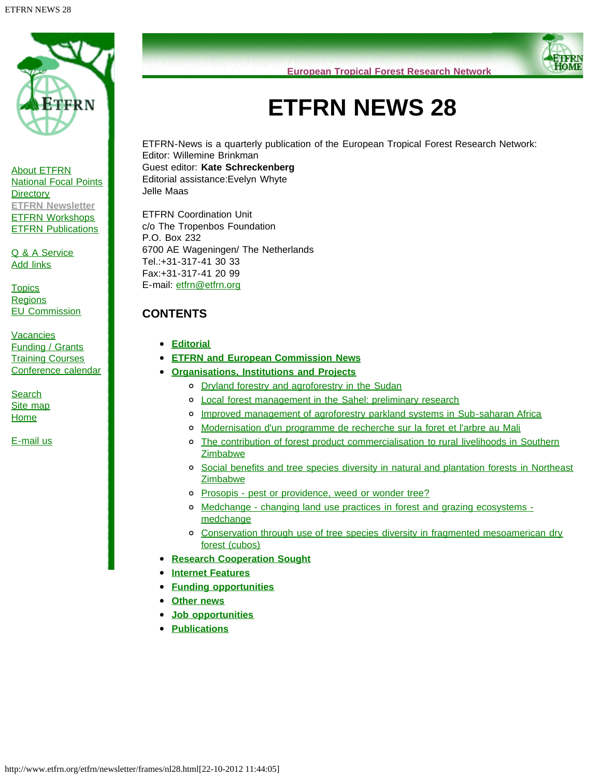

[About ETFRN](http://www.etfrn.org/etfrn/network/about.html) [National Focal Points](http://www.etfrn.org/etfrn/network/natnodes.html) **[Directory](http://www.etfrn.org/etfrn/network/dir.html) [ETFRN Newsletter](http://www.etfrn.org/etfrn/resource/news.html)** [ETFRN Workshops](http://www.etfrn.org/etfrn/workshop/index.html) **[ETFRN Publications](http://www.etfrn.org/etfrn/resource/publications.html)** 

[Q & A Service](http://www.etfrn.org/etfrn/qanda/index.html) [Add links](http://www.etfrn.org/etfrn/addlinks/index.html)

**[Topics](http://www.etfrn.org/etfrn/topics/index.html) [Regions](http://www.etfrn.org/etfrn/regions/index.html)** [EU Commission](http://www.etfrn.org/etfrn/eucomm/index.html)

**[Vacancies](http://www.etfrn.org/etfrn/resource/frames/job.html)** [Funding / Grants](http://www.etfrn.org/etfrn/resource/frames/linkfund.html) **[Training Courses](http://www.etfrn.org/etfrn/resource/frames/courseagenda.html)** [Conference calendar](http://www.etfrn.org/etfrn/resource/frames/agenda.html)

**[Search](http://www.etfrn.org/etfrn/site/search.html)** [Site map](http://www.etfrn.org/etfrn/site/sitemap.html) [Home](http://www.etfrn.org/etfrn/index.html)

[E-mail us](mailto:etfrn@etfrn.org)

**European Tropical Forest Research Network**

# **ETFRN NEWS 28**

ETFRN-News is a quarterly publication of the European Tropical Forest Research Network: Editor: Willemine Brinkman Guest editor: **Kate Schreckenberg** Editorial assistance:Evelyn Whyte Jelle Maas

ETFRN Coordination Unit c/o The Tropenbos Foundation P.O. Box 232 6700 AE Wageningen/ The Netherlands Tel.:+31-317-41 30 33 Fax:+31-317-41 20 99 E-mail: [etfrn@etfrn.org](mailto:etfrn@etfrn.org)

## **CONTENTS**

- **[Editorial](http://www.etfrn.org/etfrn/newsletter/nl28_edi.htm)**
- **[ETFRN and European Commission News](http://www.etfrn.org/etfrn/newsletter/nl28_ecn.htm)**
- **[Organisations, Institutions and Projects](http://www.etfrn.org/etfrn/newsletter/nl28_oip.htm)**
	- o [Dryland forestry and agroforestry in the Sudan](http://www.etfrn.org/etfrn/newsletter/nl28_oip.htm#dry)
	- [Local forest management in the Sahel: preliminary research](http://www.etfrn.org/etfrn/newsletter/nl28_oip.htm#loc)
	- [Improved management of agroforestry parkland systems in Sub-saharan Africa](http://www.etfrn.org/etfrn/newsletter/nl28_oip.htm#imp)
	- o [Modernisation d'un programme de recherche sur la foret et l'arbre au Mali](http://www.etfrn.org/etfrn/newsletter/nl28_oip.htm#mod)
	- o [The contribution of forest product commercialisation to rural livelihoods in Southern](http://www.etfrn.org/etfrn/newsletter/nl28_oip.htm#the) **[Zimbabwe](http://www.etfrn.org/etfrn/newsletter/nl28_oip.htm#the)**
	- o [Social benefits and tree species diversity in natural and plantation forests in Northeast](http://www.etfrn.org/etfrn/newsletter/nl28_oip.htm#soc) **[Zimbabwe](http://www.etfrn.org/etfrn/newsletter/nl28_oip.htm#soc)**
	- o [Prosopis pest or providence, weed or wonder tree?](http://www.etfrn.org/etfrn/newsletter/nl28_oip.htm#pro)
	- [Medchange changing land use practices in forest and grazing ecosystems](http://www.etfrn.org/etfrn/newsletter/nl28_oip.htm#med)  [medchange](http://www.etfrn.org/etfrn/newsletter/nl28_oip.htm#med)
	- [Conservation through use of tree species diversity in fragmented mesoamerican dry](http://www.etfrn.org/etfrn/newsletter/nl28_oip.htm#con) [forest \(cubos\)](http://www.etfrn.org/etfrn/newsletter/nl28_oip.htm#con)
- **[Research Cooperation Sought](http://www.etfrn.org/etfrn/newsletter/nl28_rcs.htm)**
- **[Internet Features](http://www.etfrn.org/etfrn/newsletter/nl28_if.htm)**
- $\bullet$ **[Funding opportunities](http://www.etfrn.org/etfrn/newsletter/nl28_on.htm)**
- **[Other news](http://www.etfrn.org/etfrn/newsletter/nl28_on.htm)**
- **[Job opportunities](http://www.etfrn.org/etfrn/newsletter/nl28_job.htm)**
- **[Publications](http://www.etfrn.org/etfrn/newsletter/nl28_pub.htm)**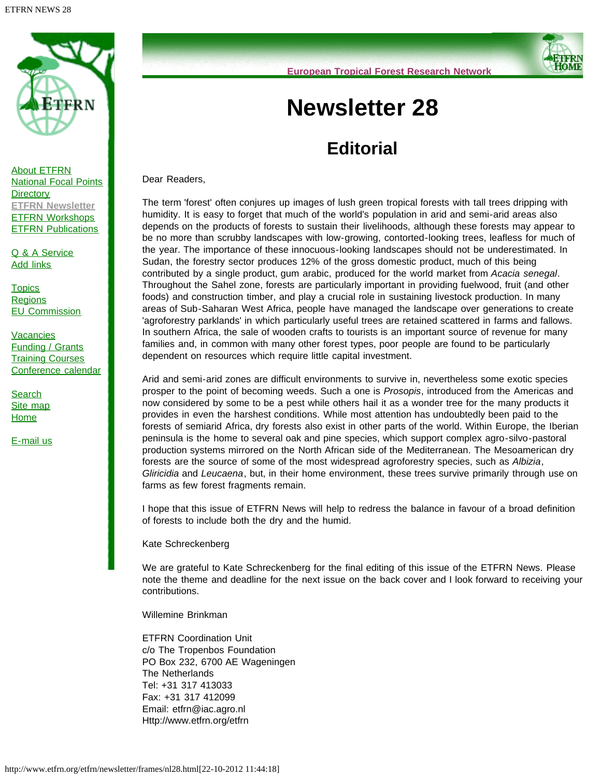

[About ETFRN](http://www.etfrn.org/etfrn/network/about.html) [National Focal Points](http://www.etfrn.org/etfrn/network/natnodes.html) **[Directory](http://www.etfrn.org/etfrn/network/dir.html) [ETFRN Newsletter](http://www.etfrn.org/etfrn/resource/news.html)** [ETFRN Workshops](http://www.etfrn.org/etfrn/workshop/index.html) **[ETFRN Publications](http://www.etfrn.org/etfrn/resource/publications.html)** 

[Q & A Service](http://www.etfrn.org/etfrn/qanda/index.html) [Add links](http://www.etfrn.org/etfrn/addlinks/index.html)

**[Topics](http://www.etfrn.org/etfrn/topics/index.html) [Regions](http://www.etfrn.org/etfrn/regions/index.html)** [EU Commission](http://www.etfrn.org/etfrn/eucomm/index.html)

**[Vacancies](http://www.etfrn.org/etfrn/resource/frames/job.html)** [Funding / Grants](http://www.etfrn.org/etfrn/resource/frames/linkfund.html) **[Training Courses](http://www.etfrn.org/etfrn/resource/frames/courseagenda.html)** [Conference calendar](http://www.etfrn.org/etfrn/resource/frames/agenda.html)

**[Search](http://www.etfrn.org/etfrn/site/search.html)** [Site map](http://www.etfrn.org/etfrn/site/sitemap.html) **[Home](http://www.etfrn.org/etfrn/index.html)** 

[E-mail us](mailto:etfrn@etfrn.org)

**European Tropical Forest Research Network**

# **Newsletter 28**

# **Editorial**

Dear Readers,

The term 'forest' often conjures up images of lush green tropical forests with tall trees dripping with humidity. It is easy to forget that much of the world's population in arid and semi-arid areas also depends on the products of forests to sustain their livelihoods, although these forests may appear to be no more than scrubby landscapes with low-growing, contorted-looking trees, leafless for much of the year. The importance of these innocuous-looking landscapes should not be underestimated. In Sudan, the forestry sector produces 12% of the gross domestic product, much of this being contributed by a single product, gum arabic, produced for the world market from *Acacia senegal*. Throughout the Sahel zone, forests are particularly important in providing fuelwood, fruit (and other foods) and construction timber, and play a crucial role in sustaining livestock production. In many areas of Sub-Saharan West Africa, people have managed the landscape over generations to create 'agroforestry parklands' in which particularly useful trees are retained scattered in farms and fallows. In southern Africa, the sale of wooden crafts to tourists is an important source of revenue for many families and, in common with many other forest types, poor people are found to be particularly dependent on resources which require little capital investment.

Arid and semi-arid zones are difficult environments to survive in, nevertheless some exotic species prosper to the point of becoming weeds. Such a one is *Prosopis*, introduced from the Americas and now considered by some to be a pest while others hail it as a wonder tree for the many products it provides in even the harshest conditions. While most attention has undoubtedly been paid to the forests of semiarid Africa, dry forests also exist in other parts of the world. Within Europe, the Iberian peninsula is the home to several oak and pine species, which support complex agro-silvo-pastoral production systems mirrored on the North African side of the Mediterranean. The Mesoamerican dry forests are the source of some of the most widespread agroforestry species, such as *Albizia*, *Gliricidia* and *Leucaena*, but, in their home environment, these trees survive primarily through use on farms as few forest fragments remain.

I hope that this issue of ETFRN News will help to redress the balance in favour of a broad definition of forests to include both the dry and the humid.

Kate Schreckenberg

We are grateful to Kate Schreckenberg for the final editing of this issue of the ETFRN News. Please note the theme and deadline for the next issue on the back cover and I look forward to receiving your contributions.

Willemine Brinkman

ETFRN Coordination Unit c/o The Tropenbos Foundation PO Box 232, 6700 AE Wageningen The Netherlands Tel: +31 317 413033 Fax: +31 317 412099 Email: etfrn@iac.agro.nl Http://www.etfrn.org/etfrn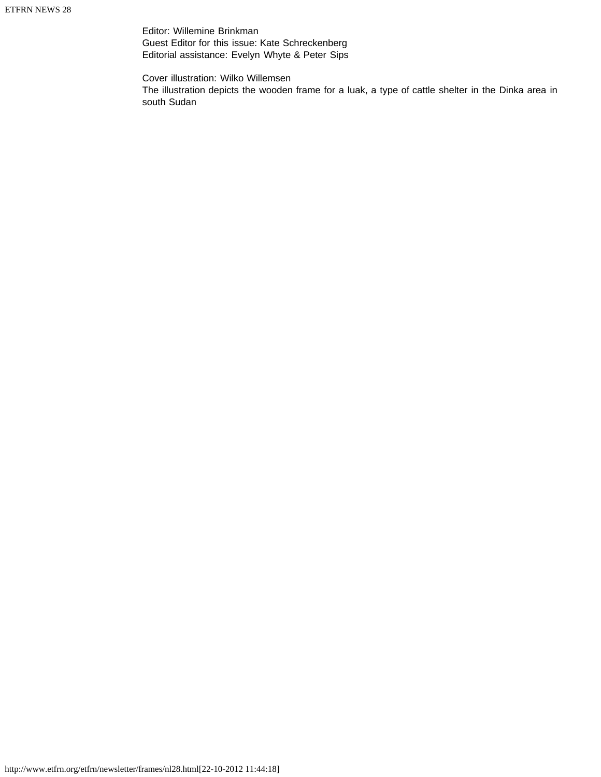Editor: Willemine Brinkman Guest Editor for this issue: Kate Schreckenberg Editorial assistance: Evelyn Whyte & Peter Sips

Cover illustration: Wilko Willemsen The illustration depicts the wooden frame for a luak, a type of cattle shelter in the Dinka area in south Sudan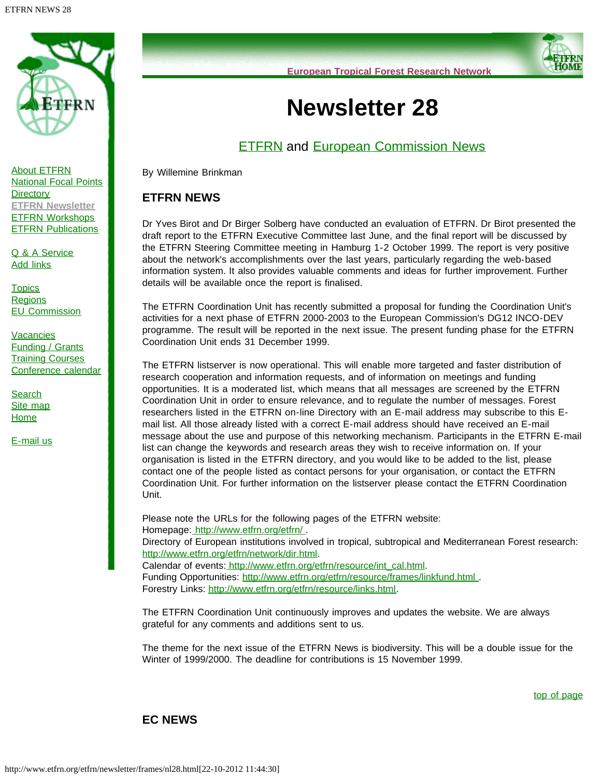<span id="page-3-2"></span>

<span id="page-3-0"></span>[About ETFRN](http://www.etfrn.org/etfrn/network/about.html) [National Focal Points](http://www.etfrn.org/etfrn/network/natnodes.html) **[Directory](http://www.etfrn.org/etfrn/network/dir.html) [ETFRN Newsletter](http://www.etfrn.org/etfrn/resource/news.html)** [ETFRN Workshops](http://www.etfrn.org/etfrn/workshop/index.html) **[ETFRN Publications](http://www.etfrn.org/etfrn/resource/publications.html)** 

[Q & A Service](http://www.etfrn.org/etfrn/qanda/index.html) [Add links](http://www.etfrn.org/etfrn/addlinks/index.html)

**[Topics](http://www.etfrn.org/etfrn/topics/index.html) [Regions](http://www.etfrn.org/etfrn/regions/index.html)** [EU Commission](http://www.etfrn.org/etfrn/eucomm/index.html)

**[Vacancies](http://www.etfrn.org/etfrn/resource/frames/job.html)** [Funding / Grants](http://www.etfrn.org/etfrn/resource/frames/linkfund.html) **[Training Courses](http://www.etfrn.org/etfrn/resource/frames/courseagenda.html)** [Conference calendar](http://www.etfrn.org/etfrn/resource/frames/agenda.html)

**[Search](http://www.etfrn.org/etfrn/site/search.html)** [Site map](http://www.etfrn.org/etfrn/site/sitemap.html) **[Home](http://www.etfrn.org/etfrn/index.html)** 

[E-mail us](mailto:etfrn@etfrn.org)



# **Newsletter 28**

# **[ETFRN](#page-3-0) and [European Commission News](#page-3-1)**

By Willemine Brinkman

## **ETFRN NEWS**

Dr Yves Birot and Dr Birger Solberg have conducted an evaluation of ETFRN. Dr Birot presented the draft report to the ETFRN Executive Committee last June, and the final report will be discussed by the ETFRN Steering Committee meeting in Hamburg 1-2 October 1999. The report is very positive about the network's accomplishments over the last years, particularly regarding the web-based information system. It also provides valuable comments and ideas for further improvement. Further details will be available once the report is finalised.

The ETFRN Coordination Unit has recently submitted a proposal for funding the Coordination Unit's activities for a next phase of ETFRN 2000-2003 to the European Commission's DG12 INCO-DEV programme. The result will be reported in the next issue. The present funding phase for the ETFRN Coordination Unit ends 31 December 1999.

The ETFRN listserver is now operational. This will enable more targeted and faster distribution of research cooperation and information requests, and of information on meetings and funding opportunities. It is a moderated list, which means that all messages are screened by the ETFRN Coordination Unit in order to ensure relevance, and to regulate the number of messages. Forest researchers listed in the ETFRN on-line Directory with an E-mail address may subscribe to this Email list. All those already listed with a correct E-mail address should have received an E-mail message about the use and purpose of this networking mechanism. Participants in the ETFRN E-mail list can change the keywords and research areas they wish to receive information on. If your organisation is listed in the ETFRN directory, and you would like to be added to the list, please contact one of the people listed as contact persons for your organisation, or contact the ETFRN Coordination Unit. For further information on the listserver please contact the ETFRN Coordination Unit.

Please note the URLs for the following pages of the ETFRN website: Homepage: http://www.etfrn.org/etfrn/. Directory of European institutions involved in tropical, subtropical and Mediterranean Forest research: [http://www.etfrn.org/etfrn/network/dir.html.](http://www.etfrn.org/etfrn/network/dir.html) Calendar of events: [http://www.etfrn.org/etfrn/resource/int\\_cal.html.](http://www.etfrn.org/etfrn/resource/int_cal.html)

Funding Opportunities: http://www.etfrn.org/etfrn/resource/frames/linkfund.html. Forestry Links: [http://www.etfrn.org/etfrn/resource/links.html.](http://www.etfrn.org/etfrn/resource/links.html)

The ETFRN Coordination Unit continuously improves and updates the website. We are always grateful for any comments and additions sent to us.

The theme for the next issue of the ETFRN News is biodiversity. This will be a double issue for the Winter of 1999/2000. The deadline for contributions is 15 November 1999.

[top of page](#page-3-2)

### <span id="page-3-1"></span>**EC NEWS**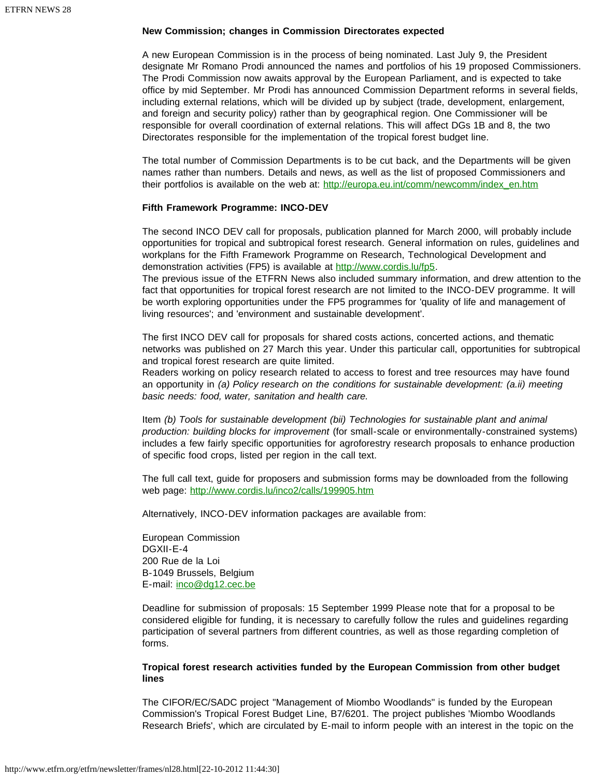### **New Commission; changes in Commission Directorates expected**

A new European Commission is in the process of being nominated. Last July 9, the President designate Mr Romano Prodi announced the names and portfolios of his 19 proposed Commissioners. The Prodi Commission now awaits approval by the European Parliament, and is expected to take office by mid September. Mr Prodi has announced Commission Department reforms in several fields, including external relations, which will be divided up by subject (trade, development, enlargement, and foreign and security policy) rather than by geographical region. One Commissioner will be responsible for overall coordination of external relations. This will affect DGs 1B and 8, the two Directorates responsible for the implementation of the tropical forest budget line.

The total number of Commission Departments is to be cut back, and the Departments will be given names rather than numbers. Details and news, as well as the list of proposed Commissioners and their portfolios is available on the web at: [http://europa.eu.int/comm/newcomm/index\\_en.htm](http://europa.eu.int/comm/newcomm/index_en.htm)

### **Fifth Framework Programme: INCO-DEV**

The second INCO DEV call for proposals, publication planned for March 2000, will probably include opportunities for tropical and subtropical forest research. General information on rules, guidelines and workplans for the Fifth Framework Programme on Research, Technological Development and demonstration activities (FP5) is available at <http://www.cordis.lu/fp5>.

The previous issue of the ETFRN News also included summary information, and drew attention to the fact that opportunities for tropical forest research are not limited to the INCO-DEV programme. It will be worth exploring opportunities under the FP5 programmes for 'quality of life and management of living resources'; and 'environment and sustainable development'.

The first INCO DEV call for proposals for shared costs actions, concerted actions, and thematic networks was published on 27 March this year. Under this particular call, opportunities for subtropical and tropical forest research are quite limited.

Readers working on policy research related to access to forest and tree resources may have found an opportunity in *(a) Policy research on the conditions for sustainable development: (a.ii) meeting basic needs: food, water, sanitation and health care.* 

Item *(b) Tools for sustainable development (bii) Technologies for sustainable plant and animal production: building blocks for improvement* (for small-scale or environmentally-constrained systems) includes a few fairly specific opportunities for agroforestry research proposals to enhance production of specific food crops, listed per region in the call text.

The full call text, guide for proposers and submission forms may be downloaded from the following web page: <http://www.cordis.lu/inco2/calls/199905.htm>

Alternatively, INCO-DEV information packages are available from:

European Commission DGXII-E-4 200 Rue de la Loi B-1049 Brussels, Belgium E-mail: [inco@dg12.cec.be](mailto:inco@dg12.cec.be)

Deadline for submission of proposals: 15 September 1999 Please note that for a proposal to be considered eligible for funding, it is necessary to carefully follow the rules and guidelines regarding participation of several partners from different countries, as well as those regarding completion of forms.

### **Tropical forest research activities funded by the European Commission from other budget lines**

The CIFOR/EC/SADC project "Management of Miombo Woodlands" is funded by the European Commission's Tropical Forest Budget Line, B7/6201. The project publishes 'Miombo Woodlands Research Briefs', which are circulated by E-mail to inform people with an interest in the topic on the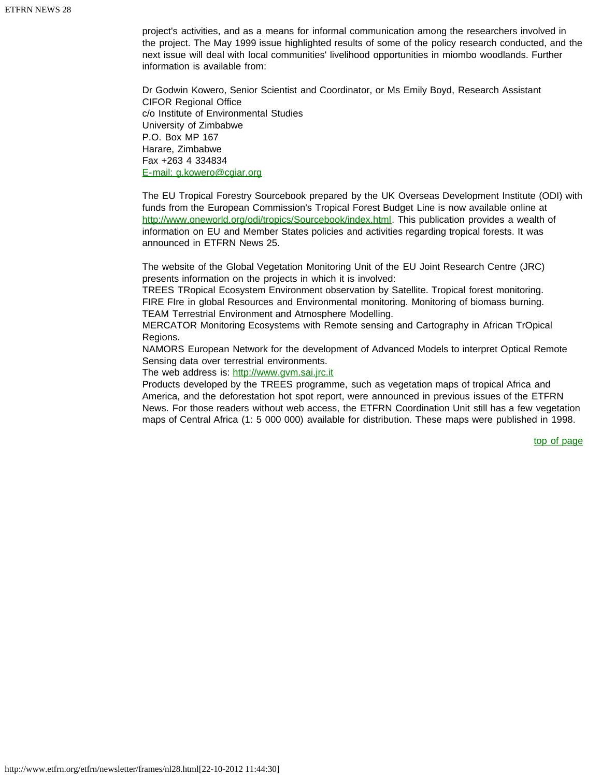project's activities, and as a means for informal communication among the researchers involved in the project. The May 1999 issue highlighted results of some of the policy research conducted, and the next issue will deal with local communities' livelihood opportunities in miombo woodlands. Further information is available from:

Dr Godwin Kowero, Senior Scientist and Coordinator, or Ms Emily Boyd, Research Assistant CIFOR Regional Office c/o Institute of Environmental Studies University of Zimbabwe P.O. Box MP 167 Harare, Zimbabwe Fax +263 4 334834 [E-mail: g.kowero@cgiar.org](mailto:g.kowero@cgiar.org)

The EU Tropical Forestry Sourcebook prepared by the UK Overseas Development Institute (ODI) with funds from the European Commission's Tropical Forest Budget Line is now available online at <http://www.oneworld.org/odi/tropics/Sourcebook/index.html>. This publication provides a wealth of information on EU and Member States policies and activities regarding tropical forests. It was announced in ETFRN News 25.

The website of the Global Vegetation Monitoring Unit of the EU Joint Research Centre (JRC) presents information on the projects in which it is involved:

TREES TRopical Ecosystem Environment observation by Satellite. Tropical forest monitoring. FIRE FIre in global Resources and Environmental monitoring. Monitoring of biomass burning. TEAM Terrestrial Environment and Atmosphere Modelling.

MERCATOR Monitoring Ecosystems with Remote sensing and Cartography in African TrOpical Regions.

NAMORS European Network for the development of Advanced Models to interpret Optical Remote Sensing data over terrestrial environments.

The web address is: [http://www.gvm.sai.jrc.it](http://www.gvm.sai.jrc.it/)

Products developed by the TREES programme, such as vegetation maps of tropical Africa and America, and the deforestation hot spot report, were announced in previous issues of the ETFRN News. For those readers without web access, the ETFRN Coordination Unit still has a few vegetation maps of Central Africa (1: 5 000 000) available for distribution. These maps were published in 1998.

[top of page](#page-3-2)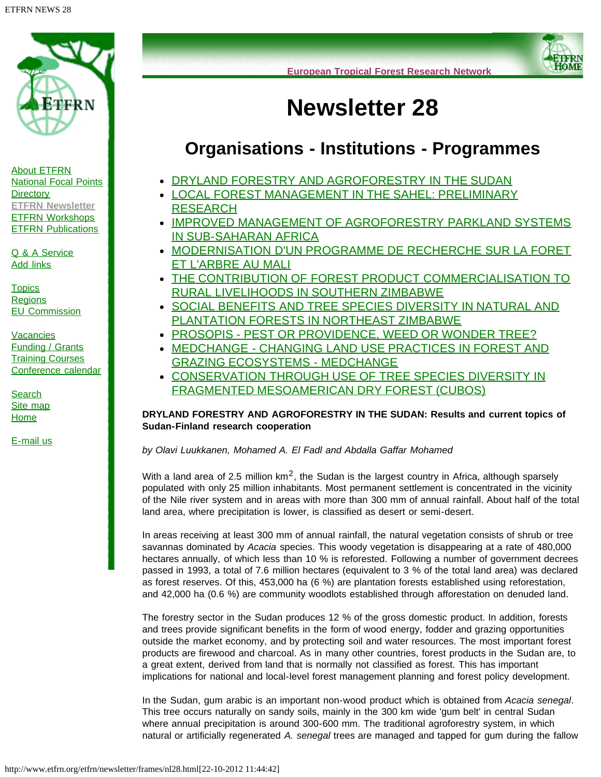<span id="page-6-1"></span>

[About ETFRN](http://www.etfrn.org/etfrn/network/about.html) [National Focal Points](http://www.etfrn.org/etfrn/network/natnodes.html) **[Directory](http://www.etfrn.org/etfrn/network/dir.html) [ETFRN Newsletter](http://www.etfrn.org/etfrn/resource/news.html)** [ETFRN Workshops](http://www.etfrn.org/etfrn/workshop/index.html) **[ETFRN Publications](http://www.etfrn.org/etfrn/resource/publications.html)** 

[Q & A Service](http://www.etfrn.org/etfrn/qanda/index.html) [Add links](http://www.etfrn.org/etfrn/addlinks/index.html)

**[Topics](http://www.etfrn.org/etfrn/topics/index.html) [Regions](http://www.etfrn.org/etfrn/regions/index.html)** [EU Commission](http://www.etfrn.org/etfrn/eucomm/index.html)

**[Vacancies](http://www.etfrn.org/etfrn/resource/frames/job.html)** [Funding / Grants](http://www.etfrn.org/etfrn/resource/frames/linkfund.html) **[Training Courses](http://www.etfrn.org/etfrn/resource/frames/courseagenda.html)** [Conference calendar](http://www.etfrn.org/etfrn/resource/frames/agenda.html)

<span id="page-6-0"></span>**[Search](http://www.etfrn.org/etfrn/site/search.html)** [Site map](http://www.etfrn.org/etfrn/site/sitemap.html) **[Home](http://www.etfrn.org/etfrn/index.html)** 

[E-mail us](mailto:etfrn@etfrn.org)



# **Newsletter 28**

# **Organisations - Institutions - Programmes**

- [DRYLAND FORESTRY AND AGROFORESTRY IN THE SUDAN](#page-6-0)
- [LOCAL FOREST MANAGEMENT IN THE SAHEL: PRELIMINARY](#page-8-0) **[RESEARCH](#page-8-0)**
- . [IMPROVED MANAGEMENT OF AGROFORESTRY PARKLAND SYSTEMS](#page-9-0) [IN SUB-SAHARAN AFRICA](#page-9-0)
- [MODERNISATION D'UN PROGRAMME DE RECHERCHE SUR LA FORET](#page-10-0) [ET L'ARBRE AU MALI](#page-10-0)
- [THE CONTRIBUTION OF FOREST PRODUCT COMMERCIALISATION TO](#page-11-0) [RURAL LIVELIHOODS IN SOUTHERN ZIMBABWE](#page-11-0)
- **[SOCIAL BENEFITS AND TREE SPECIES DIVERSITY IN NATURAL AND](#page-13-0)** [PLANTATION FORESTS IN NORTHEAST ZIMBABWE](#page-13-0)
- [PROSOPIS PEST OR PROVIDENCE, WEED OR WONDER TREE?](#page-14-0)
- [MEDCHANGE CHANGING LAND USE PRACTICES IN FOREST AND](#page-15-0) [GRAZING ECOSYSTEMS - MEDCHANGE](#page-15-0)
- **[CONSERVATION THROUGH USE OF TREE SPECIES DIVERSITY IN](#page-17-0)** [FRAGMENTED MESOAMERICAN DRY FOREST \(CUBOS\)](#page-17-0)

### **DRYLAND FORESTRY AND AGROFORESTRY IN THE SUDAN: Results and current topics of Sudan-Finland research cooperation**

*by Olavi Luukkanen, Mohamed A. El Fadl and Abdalla Gaffar Mohamed*

With a land area of 2.5 million  $km^2$ , the Sudan is the largest country in Africa, although sparsely populated with only 25 million inhabitants. Most permanent settlement is concentrated in the vicinity of the Nile river system and in areas with more than 300 mm of annual rainfall. About half of the total land area, where precipitation is lower, is classified as desert or semi-desert.

In areas receiving at least 300 mm of annual rainfall, the natural vegetation consists of shrub or tree savannas dominated by *Acacia* species. This woody vegetation is disappearing at a rate of 480,000 hectares annually, of which less than 10 % is reforested. Following a number of government decrees passed in 1993, a total of 7.6 million hectares (equivalent to 3 % of the total land area) was declared as forest reserves. Of this, 453,000 ha (6 %) are plantation forests established using reforestation, and 42,000 ha (0.6 %) are community woodlots established through afforestation on denuded land.

The forestry sector in the Sudan produces 12 % of the gross domestic product. In addition, forests and trees provide significant benefits in the form of wood energy, fodder and grazing opportunities outside the market economy, and by protecting soil and water resources. The most important forest products are firewood and charcoal. As in many other countries, forest products in the Sudan are, to a great extent, derived from land that is normally not classified as forest. This has important implications for national and local-level forest management planning and forest policy development.

In the Sudan, gum arabic is an important non-wood product which is obtained from *Acacia senegal*. This tree occurs naturally on sandy soils, mainly in the 300 km wide 'gum belt' in central Sudan where annual precipitation is around 300-600 mm. The traditional agroforestry system, in which natural or artificially regenerated *A. senegal* trees are managed and tapped for gum during the fallow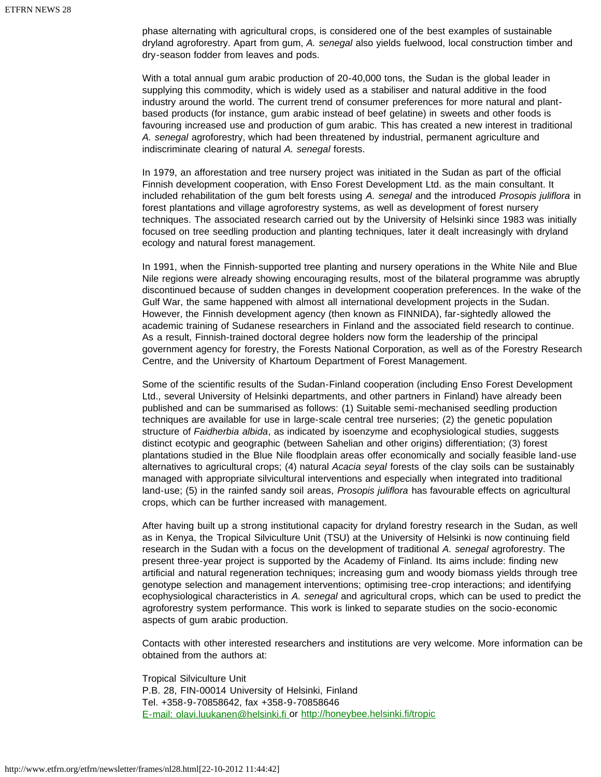phase alternating with agricultural crops, is considered one of the best examples of sustainable dryland agroforestry. Apart from gum, *A. senegal* also yields fuelwood, local construction timber and dry-season fodder from leaves and pods.

With a total annual gum arabic production of 20-40,000 tons, the Sudan is the global leader in supplying this commodity, which is widely used as a stabiliser and natural additive in the food industry around the world. The current trend of consumer preferences for more natural and plantbased products (for instance, gum arabic instead of beef gelatine) in sweets and other foods is favouring increased use and production of gum arabic. This has created a new interest in traditional *A. senegal* agroforestry, which had been threatened by industrial, permanent agriculture and indiscriminate clearing of natural *A. senegal* forests.

In 1979, an afforestation and tree nursery project was initiated in the Sudan as part of the official Finnish development cooperation, with Enso Forest Development Ltd. as the main consultant. It included rehabilitation of the gum belt forests using *A. senegal* and the introduced *Prosopis juliflora* in forest plantations and village agroforestry systems, as well as development of forest nursery techniques. The associated research carried out by the University of Helsinki since 1983 was initially focused on tree seedling production and planting techniques, later it dealt increasingly with dryland ecology and natural forest management.

In 1991, when the Finnish-supported tree planting and nursery operations in the White Nile and Blue Nile regions were already showing encouraging results, most of the bilateral programme was abruptly discontinued because of sudden changes in development cooperation preferences. In the wake of the Gulf War, the same happened with almost all international development projects in the Sudan. However, the Finnish development agency (then known as FINNIDA), far-sightedly allowed the academic training of Sudanese researchers in Finland and the associated field research to continue. As a result, Finnish-trained doctoral degree holders now form the leadership of the principal government agency for forestry, the Forests National Corporation, as well as of the Forestry Research Centre, and the University of Khartoum Department of Forest Management.

Some of the scientific results of the Sudan-Finland cooperation (including Enso Forest Development Ltd., several University of Helsinki departments, and other partners in Finland) have already been published and can be summarised as follows: (1) Suitable semi-mechanised seedling production techniques are available for use in large-scale central tree nurseries; (2) the genetic population structure of *Faidherbia albida*, as indicated by isoenzyme and ecophysiological studies, suggests distinct ecotypic and geographic (between Sahelian and other origins) differentiation; (3) forest plantations studied in the Blue Nile floodplain areas offer economically and socially feasible land-use alternatives to agricultural crops; (4) natural *Acacia seyal* forests of the clay soils can be sustainably managed with appropriate silvicultural interventions and especially when integrated into traditional land-use; (5) in the rainfed sandy soil areas, *Prosopis juliflora* has favourable effects on agricultural crops, which can be further increased with management.

After having built up a strong institutional capacity for dryland forestry research in the Sudan, as well as in Kenya, the Tropical Silviculture Unit (TSU) at the University of Helsinki is now continuing field research in the Sudan with a focus on the development of traditional *A. senegal* agroforestry. The present three-year project is supported by the Academy of Finland. Its aims include: finding new artificial and natural regeneration techniques; increasing gum and woody biomass yields through tree genotype selection and management interventions; optimising tree-crop interactions; and identifying ecophysiological characteristics in *A. senegal* and agricultural crops, which can be used to predict the agroforestry system performance. This work is linked to separate studies on the socio-economic aspects of gum arabic production.

Contacts with other interested researchers and institutions are very welcome. More information can be obtained from the authors at:

Tropical Silviculture Unit P.B. 28, FIN-00014 University of Helsinki, Finland Tel. +358-9-70858642, fax +358-9-70858646 [E-mail: olavi.luukanen@helsinki.fi](mailto:olavi.luukanen@helsinki.fi) or <http://honeybee.helsinki.fi/tropic>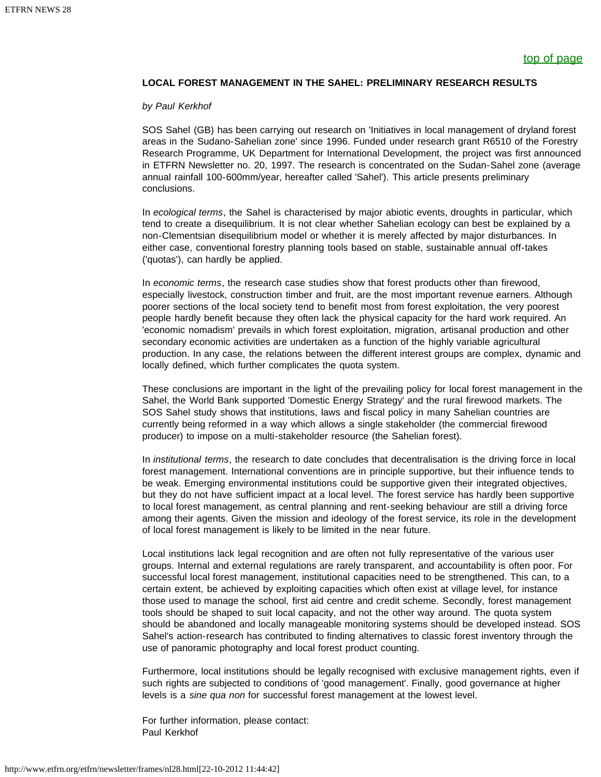### <span id="page-8-0"></span>**LOCAL FOREST MANAGEMENT IN THE SAHEL: PRELIMINARY RESEARCH RESULTS**

#### *by Paul Kerkhof*

SOS Sahel (GB) has been carrying out research on 'Initiatives in local management of dryland forest areas in the Sudano-Sahelian zone' since 1996. Funded under research grant R6510 of the Forestry Research Programme, UK Department for International Development, the project was first announced in ETFRN Newsletter no. 20, 1997. The research is concentrated on the Sudan-Sahel zone (average annual rainfall 100-600mm/year, hereafter called 'Sahel'). This article presents preliminary conclusions.

In *ecological terms*, the Sahel is characterised by major abiotic events, droughts in particular, which tend to create a disequilibrium. It is not clear whether Sahelian ecology can best be explained by a non-Clementsian disequilibrium model or whether it is merely affected by major disturbances. In either case, conventional forestry planning tools based on stable, sustainable annual off-takes ('quotas'), can hardly be applied.

In *economic terms*, the research case studies show that forest products other than firewood, especially livestock, construction timber and fruit, are the most important revenue earners. Although poorer sections of the local society tend to benefit most from forest exploitation, the very poorest people hardly benefit because they often lack the physical capacity for the hard work required. An 'economic nomadism' prevails in which forest exploitation, migration, artisanal production and other secondary economic activities are undertaken as a function of the highly variable agricultural production. In any case, the relations between the different interest groups are complex, dynamic and locally defined, which further complicates the quota system.

These conclusions are important in the light of the prevailing policy for local forest management in the Sahel, the World Bank supported 'Domestic Energy Strategy' and the rural firewood markets. The SOS Sahel study shows that institutions, laws and fiscal policy in many Sahelian countries are currently being reformed in a way which allows a single stakeholder (the commercial firewood producer) to impose on a multi-stakeholder resource (the Sahelian forest).

In *institutional terms*, the research to date concludes that decentralisation is the driving force in local forest management. International conventions are in principle supportive, but their influence tends to be weak. Emerging environmental institutions could be supportive given their integrated objectives, but they do not have sufficient impact at a local level. The forest service has hardly been supportive to local forest management, as central planning and rent-seeking behaviour are still a driving force among their agents. Given the mission and ideology of the forest service, its role in the development of local forest management is likely to be limited in the near future.

Local institutions lack legal recognition and are often not fully representative of the various user groups. Internal and external regulations are rarely transparent, and accountability is often poor. For successful local forest management, institutional capacities need to be strengthened. This can, to a certain extent, be achieved by exploiting capacities which often exist at village level, for instance those used to manage the school, first aid centre and credit scheme. Secondly, forest management tools should be shaped to suit local capacity, and not the other way around. The quota system should be abandoned and locally manageable monitoring systems should be developed instead. SOS Sahel's action-research has contributed to finding alternatives to classic forest inventory through the use of panoramic photography and local forest product counting.

Furthermore, local institutions should be legally recognised with exclusive management rights, even if such rights are subjected to conditions of 'good management'. Finally, good governance at higher levels is a *sine qua non* for successful forest management at the lowest level.

For further information, please contact: Paul Kerkhof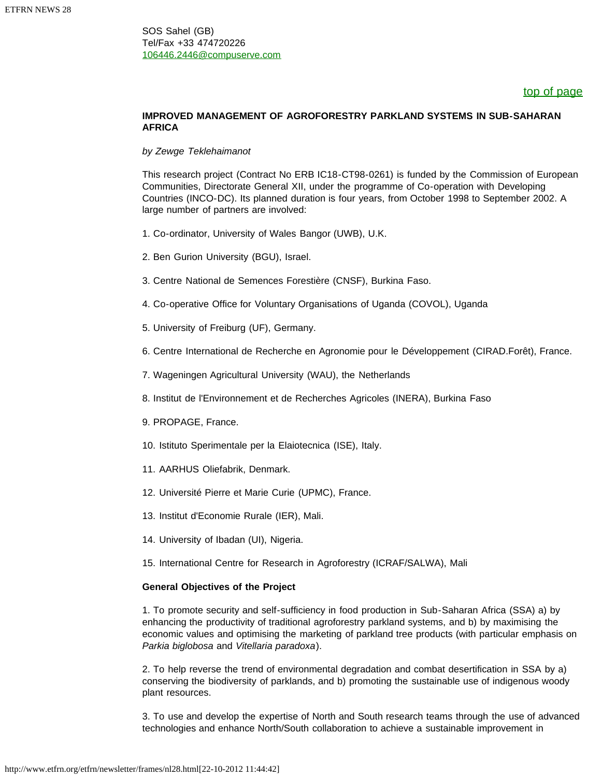SOS Sahel (GB) Tel/Fax +33 474720226 [106446.2446@compuserve.com](mailto:106446.2446@compuserve.com)

### [top of page](#page-6-1)

### <span id="page-9-0"></span>**IMPROVED MANAGEMENT OF AGROFORESTRY PARKLAND SYSTEMS IN SUB-SAHARAN AFRICA**

### *by Zewge Teklehaimanot*

This research project (Contract No ERB IC18-CT98-0261) is funded by the Commission of European Communities, Directorate General XII, under the programme of Co-operation with Developing Countries (INCO-DC). Its planned duration is four years, from October 1998 to September 2002. A large number of partners are involved:

- 1. Co-ordinator, University of Wales Bangor (UWB), U.K.
- 2. Ben Gurion University (BGU), Israel.
- 3. Centre National de Semences Forestière (CNSF), Burkina Faso.
- 4. Co-operative Office for Voluntary Organisations of Uganda (COVOL), Uganda
- 5. University of Freiburg (UF), Germany.
- 6. Centre International de Recherche en Agronomie pour le Développement (CIRAD.Forêt), France.
- 7. Wageningen Agricultural University (WAU), the Netherlands
- 8. Institut de l'Environnement et de Recherches Agricoles (INERA), Burkina Faso
- 9. PROPAGE, France.
- 10. Istituto Sperimentale per la Elaiotecnica (ISE), Italy.
- 11. AARHUS Oliefabrik, Denmark.
- 12. Université Pierre et Marie Curie (UPMC), France.
- 13. Institut d'Economie Rurale (IER), Mali.
- 14. University of Ibadan (UI), Nigeria.
- 15. International Centre for Research in Agroforestry (ICRAF/SALWA), Mali

### **General Objectives of the Project**

1. To promote security and self-sufficiency in food production in Sub-Saharan Africa (SSA) a) by enhancing the productivity of traditional agroforestry parkland systems, and b) by maximising the economic values and optimising the marketing of parkland tree products (with particular emphasis on *Parkia biglobosa* and *Vitellaria paradoxa*).

2. To help reverse the trend of environmental degradation and combat desertification in SSA by a) conserving the biodiversity of parklands, and b) promoting the sustainable use of indigenous woody plant resources.

3. To use and develop the expertise of North and South research teams through the use of advanced technologies and enhance North/South collaboration to achieve a sustainable improvement in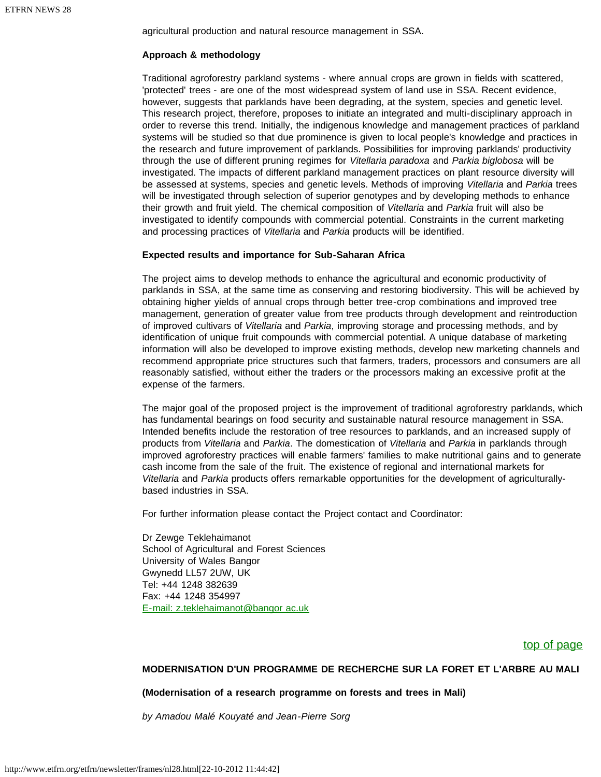agricultural production and natural resource management in SSA.

### **Approach & methodology**

Traditional agroforestry parkland systems - where annual crops are grown in fields with scattered, 'protected' trees - are one of the most widespread system of land use in SSA. Recent evidence, however, suggests that parklands have been degrading, at the system, species and genetic level. This research project, therefore, proposes to initiate an integrated and multi-disciplinary approach in order to reverse this trend. Initially, the indigenous knowledge and management practices of parkland systems will be studied so that due prominence is given to local people's knowledge and practices in the research and future improvement of parklands. Possibilities for improving parklands' productivity through the use of different pruning regimes for *Vitellaria paradoxa* and *Parkia biglobosa* will be investigated. The impacts of different parkland management practices on plant resource diversity will be assessed at systems, species and genetic levels. Methods of improving *Vitellaria* and *Parkia* trees will be investigated through selection of superior genotypes and by developing methods to enhance their growth and fruit yield. The chemical composition of *Vitellaria* and *Parkia* fruit will also be investigated to identify compounds with commercial potential. Constraints in the current marketing and processing practices of *Vitellaria* and *Parkia* products will be identified.

### **Expected results and importance for Sub-Saharan Africa**

The project aims to develop methods to enhance the agricultural and economic productivity of parklands in SSA, at the same time as conserving and restoring biodiversity. This will be achieved by obtaining higher yields of annual crops through better tree-crop combinations and improved tree management, generation of greater value from tree products through development and reintroduction of improved cultivars of *Vitellaria* and *Parkia*, improving storage and processing methods, and by identification of unique fruit compounds with commercial potential. A unique database of marketing information will also be developed to improve existing methods, develop new marketing channels and recommend appropriate price structures such that farmers, traders, processors and consumers are all reasonably satisfied, without either the traders or the processors making an excessive profit at the expense of the farmers.

The major goal of the proposed project is the improvement of traditional agroforestry parklands, which has fundamental bearings on food security and sustainable natural resource management in SSA. Intended benefits include the restoration of tree resources to parklands, and an increased supply of products from *Vitellaria* and *Parkia*. The domestication of *Vitellaria* and *Parkia* in parklands through improved agroforestry practices will enable farmers' families to make nutritional gains and to generate cash income from the sale of the fruit. The existence of regional and international markets for *Vitellaria* and *Parkia* products offers remarkable opportunities for the development of agriculturallybased industries in SSA.

For further information please contact the Project contact and Coordinator:

Dr Zewge Teklehaimanot School of Agricultural and Forest Sciences University of Wales Bangor Gwynedd LL57 2UW, UK Tel: +44 1248 382639 Fax: +44 1248 354997 [E-mail: z.teklehaimanot@bangor ac.uk](mailto:z.teklehaimanot@bangor ac.uk)

### [top of page](#page-6-1)

### <span id="page-10-0"></span>**MODERNISATION D'UN PROGRAMME DE RECHERCHE SUR LA FORET ET L'ARBRE AU MALI**

### **(Modernisation of a research programme on forests and trees in Mali)**

*by Amadou Malé Kouyaté and Jean-Pierre Sorg*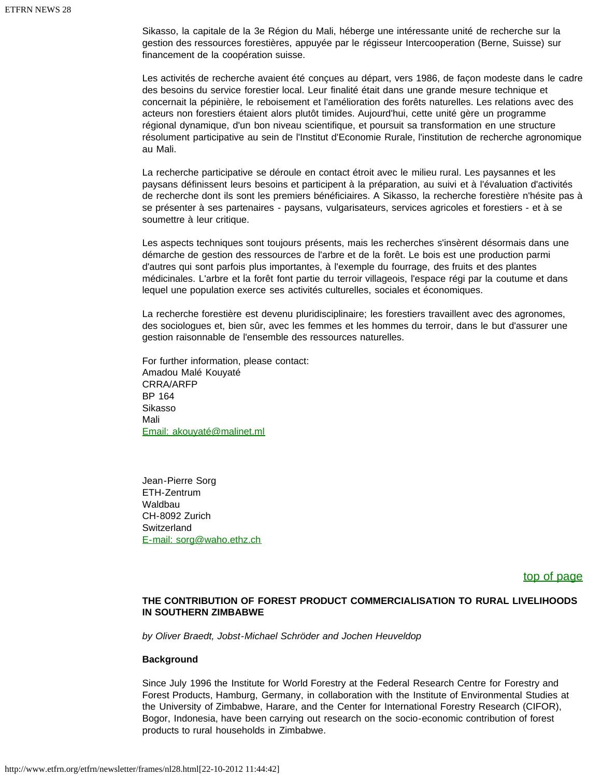Sikasso, la capitale de la 3e Région du Mali, héberge une intéressante unité de recherche sur la gestion des ressources forestières, appuyée par le régisseur Intercooperation (Berne, Suisse) sur financement de la coopération suisse.

Les activités de recherche avaient été conçues au départ, vers 1986, de façon modeste dans le cadre des besoins du service forestier local. Leur finalité était dans une grande mesure technique et concernait la pépinière, le reboisement et l'amélioration des forêts naturelles. Les relations avec des acteurs non forestiers étaient alors plutôt timides. Aujourd'hui, cette unité gère un programme régional dynamique, d'un bon niveau scientifique, et poursuit sa transformation en une structure résolument participative au sein de l'Institut d'Economie Rurale, l'institution de recherche agronomique au Mali.

La recherche participative se déroule en contact étroit avec le milieu rural. Les paysannes et les paysans définissent leurs besoins et participent à la préparation, au suivi et à l'évaluation d'activités de recherche dont ils sont les premiers bénéficiaires. A Sikasso, la recherche forestière n'hésite pas à se présenter à ses partenaires - paysans, vulgarisateurs, services agricoles et forestiers - et à se soumettre à leur critique.

Les aspects techniques sont toujours présents, mais les recherches s'insèrent désormais dans une démarche de gestion des ressources de l'arbre et de la forêt. Le bois est une production parmi d'autres qui sont parfois plus importantes, à l'exemple du fourrage, des fruits et des plantes médicinales. L'arbre et la forêt font partie du terroir villageois, l'espace régi par la coutume et dans lequel une population exerce ses activités culturelles, sociales et économiques.

La recherche forestière est devenu pluridisciplinaire; les forestiers travaillent avec des agronomes, des sociologues et, bien sûr, avec les femmes et les hommes du terroir, dans le but d'assurer une gestion raisonnable de l'ensemble des ressources naturelles.

For further information, please contact: Amadou Malé Kouyaté CRRA/ARFP BP 164 Sikasso Mali [Email: akouyaté@malinet.ml](mailto:akouyat�@malinet.ml)

Jean-Pierre Sorg ETH-Zentrum Waldbau CH-8092 Zurich **Switzerland** [E-mail: sorg@waho.ethz.ch](mailto:sorg@waho.ethz.ch)

[top of page](#page-6-1)

### <span id="page-11-0"></span>**THE CONTRIBUTION OF FOREST PRODUCT COMMERCIALISATION TO RURAL LIVELIHOODS IN SOUTHERN ZIMBABWE**

*by Oliver Braedt, Jobst-Michael Schröder and Jochen Heuveldop*

#### **Background**

Since July 1996 the Institute for World Forestry at the Federal Research Centre for Forestry and Forest Products, Hamburg, Germany, in collaboration with the Institute of Environmental Studies at the University of Zimbabwe, Harare, and the Center for International Forestry Research (CIFOR), Bogor, Indonesia, have been carrying out research on the socio-economic contribution of forest products to rural households in Zimbabwe.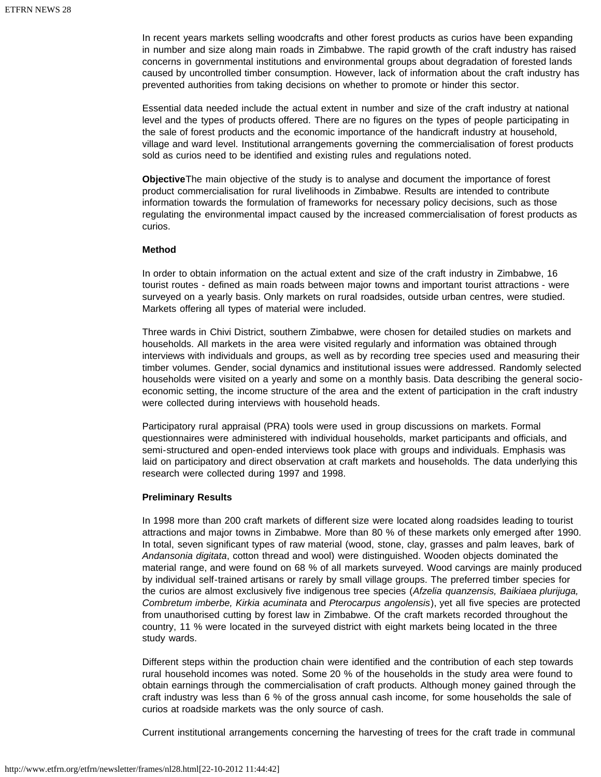In recent years markets selling woodcrafts and other forest products as curios have been expanding in number and size along main roads in Zimbabwe. The rapid growth of the craft industry has raised concerns in governmental institutions and environmental groups about degradation of forested lands caused by uncontrolled timber consumption. However, lack of information about the craft industry has prevented authorities from taking decisions on whether to promote or hinder this sector.

Essential data needed include the actual extent in number and size of the craft industry at national level and the types of products offered. There are no figures on the types of people participating in the sale of forest products and the economic importance of the handicraft industry at household, village and ward level. Institutional arrangements governing the commercialisation of forest products sold as curios need to be identified and existing rules and regulations noted.

**Objective**The main objective of the study is to analyse and document the importance of forest product commercialisation for rural livelihoods in Zimbabwe. Results are intended to contribute information towards the formulation of frameworks for necessary policy decisions, such as those regulating the environmental impact caused by the increased commercialisation of forest products as curios.

### **Method**

In order to obtain information on the actual extent and size of the craft industry in Zimbabwe, 16 tourist routes - defined as main roads between major towns and important tourist attractions - were surveyed on a yearly basis. Only markets on rural roadsides, outside urban centres, were studied. Markets offering all types of material were included.

Three wards in Chivi District, southern Zimbabwe, were chosen for detailed studies on markets and households. All markets in the area were visited regularly and information was obtained through interviews with individuals and groups, as well as by recording tree species used and measuring their timber volumes. Gender, social dynamics and institutional issues were addressed. Randomly selected households were visited on a yearly and some on a monthly basis. Data describing the general socioeconomic setting, the income structure of the area and the extent of participation in the craft industry were collected during interviews with household heads.

Participatory rural appraisal (PRA) tools were used in group discussions on markets. Formal questionnaires were administered with individual households, market participants and officials, and semi-structured and open-ended interviews took place with groups and individuals. Emphasis was laid on participatory and direct observation at craft markets and households. The data underlying this research were collected during 1997 and 1998.

### **Preliminary Results**

In 1998 more than 200 craft markets of different size were located along roadsides leading to tourist attractions and major towns in Zimbabwe. More than 80 % of these markets only emerged after 1990. In total, seven significant types of raw material (wood, stone, clay, grasses and palm leaves, bark of *Andansonia digitata*, cotton thread and wool) were distinguished. Wooden objects dominated the material range, and were found on 68 % of all markets surveyed. Wood carvings are mainly produced by individual self-trained artisans or rarely by small village groups. The preferred timber species for the curios are almost exclusively five indigenous tree species (*Afzelia quanzensis, Baikiaea plurijuga, Combretum imberbe, Kirkia acuminata* and *Pterocarpus angolensis*), yet all five species are protected from unauthorised cutting by forest law in Zimbabwe. Of the craft markets recorded throughout the country, 11 % were located in the surveyed district with eight markets being located in the three study wards.

Different steps within the production chain were identified and the contribution of each step towards rural household incomes was noted. Some 20 % of the households in the study area were found to obtain earnings through the commercialisation of craft products. Although money gained through the craft industry was less than 6 % of the gross annual cash income, for some households the sale of curios at roadside markets was the only source of cash.

Current institutional arrangements concerning the harvesting of trees for the craft trade in communal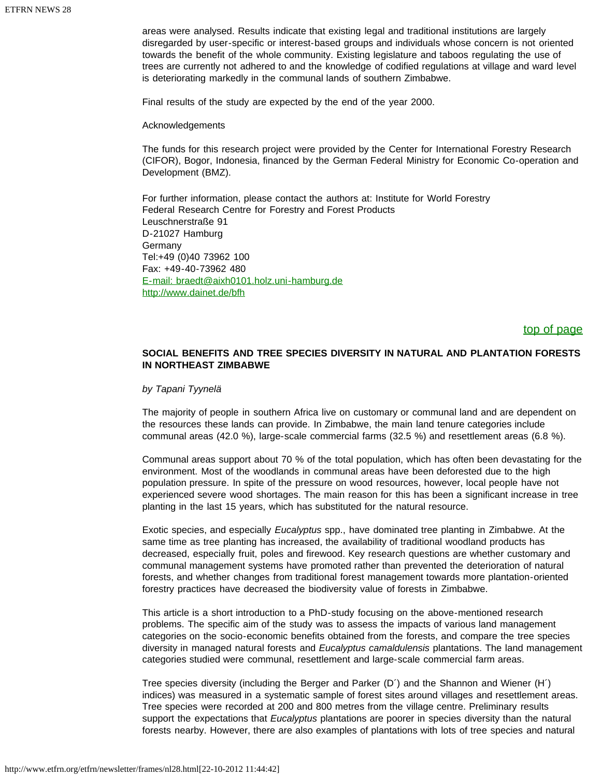areas were analysed. Results indicate that existing legal and traditional institutions are largely disregarded by user-specific or interest-based groups and individuals whose concern is not oriented towards the benefit of the whole community. Existing legislature and taboos regulating the use of trees are currently not adhered to and the knowledge of codified regulations at village and ward level is deteriorating markedly in the communal lands of southern Zimbabwe.

Final results of the study are expected by the end of the year 2000.

Acknowledgements

The funds for this research project were provided by the Center for International Forestry Research (CIFOR), Bogor, Indonesia, financed by the German Federal Ministry for Economic Co-operation and Development (BMZ).

For further information, please contact the authors at: Institute for World Forestry Federal Research Centre for Forestry and Forest Products Leuschnerstraße 91 D-21027 Hamburg Germany Tel:+49 (0)40 73962 100 Fax: +49-40-73962 480 [E-mail: braedt@aixh0101.holz.uni-hamburg.de](mailto:braedt@aixh0101.holz.uni-hamburg.de) <http://www.dainet.de/bfh>

### [top of page](#page-6-1)

### <span id="page-13-0"></span>**SOCIAL BENEFITS AND TREE SPECIES DIVERSITY IN NATURAL AND PLANTATION FORESTS IN NORTHEAST ZIMBABWE**

### *by Tapani Tyynelä*

The majority of people in southern Africa live on customary or communal land and are dependent on the resources these lands can provide. In Zimbabwe, the main land tenure categories include communal areas (42.0 %), large-scale commercial farms (32.5 %) and resettlement areas (6.8 %).

Communal areas support about 70 % of the total population, which has often been devastating for the environment. Most of the woodlands in communal areas have been deforested due to the high population pressure. In spite of the pressure on wood resources, however, local people have not experienced severe wood shortages. The main reason for this has been a significant increase in tree planting in the last 15 years, which has substituted for the natural resource.

Exotic species, and especially *Eucalyptus* spp., have dominated tree planting in Zimbabwe. At the same time as tree planting has increased, the availability of traditional woodland products has decreased, especially fruit, poles and firewood. Key research questions are whether customary and communal management systems have promoted rather than prevented the deterioration of natural forests, and whether changes from traditional forest management towards more plantation-oriented forestry practices have decreased the biodiversity value of forests in Zimbabwe.

This article is a short introduction to a PhD-study focusing on the above-mentioned research problems. The specific aim of the study was to assess the impacts of various land management categories on the socio-economic benefits obtained from the forests, and compare the tree species diversity in managed natural forests and *Eucalyptus camaldulensis* plantations. The land management categories studied were communal, resettlement and large-scale commercial farm areas.

Tree species diversity (including the Berger and Parker (D´) and the Shannon and Wiener (H´) indices) was measured in a systematic sample of forest sites around villages and resettlement areas. Tree species were recorded at 200 and 800 metres from the village centre. Preliminary results support the expectations that *Eucalyptus* plantations are poorer in species diversity than the natural forests nearby. However, there are also examples of plantations with lots of tree species and natural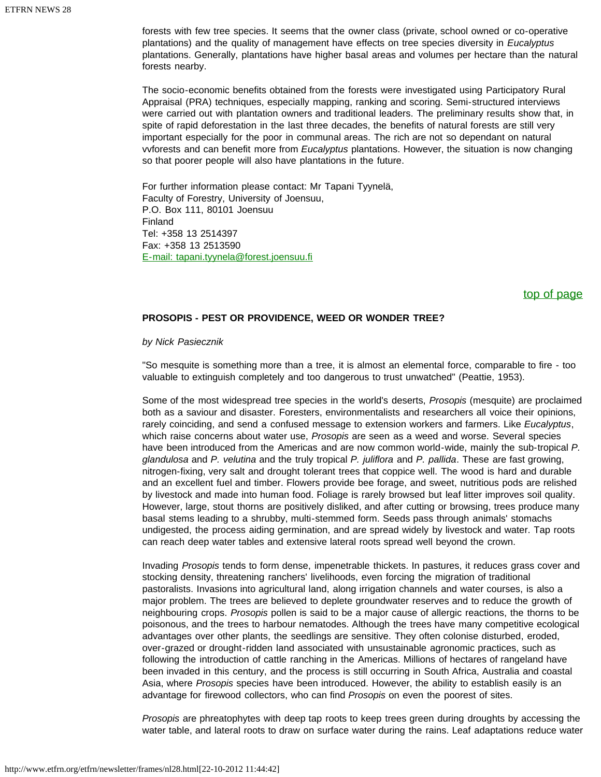forests with few tree species. It seems that the owner class (private, school owned or co-operative plantations) and the quality of management have effects on tree species diversity in *Eucalyptus* plantations. Generally, plantations have higher basal areas and volumes per hectare than the natural forests nearby.

The socio-economic benefits obtained from the forests were investigated using Participatory Rural Appraisal (PRA) techniques, especially mapping, ranking and scoring. Semi-structured interviews were carried out with plantation owners and traditional leaders. The preliminary results show that, in spite of rapid deforestation in the last three decades, the benefits of natural forests are still very important especially for the poor in communal areas. The rich are not so dependant on natural vvforests and can benefit more from *Eucalyptus* plantations. However, the situation is now changing so that poorer people will also have plantations in the future.

For further information please contact: Mr Tapani Tyynelä, Faculty of Forestry, University of Joensuu, P.O. Box 111, 80101 Joensuu Finland Tel: +358 13 2514397 Fax: +358 13 2513590 [E-mail: tapani.tyynela@forest.joensuu.fi](mailto:tapani.tyynela@forest.joensuu.fi)

### [top of page](#page-6-1)

### <span id="page-14-0"></span>**PROSOPIS - PEST OR PROVIDENCE, WEED OR WONDER TREE?**

*by Nick Pasiecznik*

"So mesquite is something more than a tree, it is almost an elemental force, comparable to fire - too valuable to extinguish completely and too dangerous to trust unwatched" (Peattie, 1953).

Some of the most widespread tree species in the world's deserts, *Prosopis* (mesquite) are proclaimed both as a saviour and disaster. Foresters, environmentalists and researchers all voice their opinions, rarely coinciding, and send a confused message to extension workers and farmers. Like *Eucalyptus*, which raise concerns about water use, *Prosopis* are seen as a weed and worse. Several species have been introduced from the Americas and are now common world-wide, mainly the sub-tropical *P. glandulosa* and *P. velutina* and the truly tropical *P. juliflora* and *P. pallida*. These are fast growing, nitrogen-fixing, very salt and drought tolerant trees that coppice well. The wood is hard and durable and an excellent fuel and timber. Flowers provide bee forage, and sweet, nutritious pods are relished by livestock and made into human food. Foliage is rarely browsed but leaf litter improves soil quality. However, large, stout thorns are positively disliked, and after cutting or browsing, trees produce many basal stems leading to a shrubby, multi-stemmed form. Seeds pass through animals' stomachs undigested, the process aiding germination, and are spread widely by livestock and water. Tap roots can reach deep water tables and extensive lateral roots spread well beyond the crown.

Invading *Prosopis* tends to form dense, impenetrable thickets. In pastures, it reduces grass cover and stocking density, threatening ranchers' livelihoods, even forcing the migration of traditional pastoralists. Invasions into agricultural land, along irrigation channels and water courses, is also a major problem. The trees are believed to deplete groundwater reserves and to reduce the growth of neighbouring crops. *Prosopis* pollen is said to be a major cause of allergic reactions, the thorns to be poisonous, and the trees to harbour nematodes. Although the trees have many competitive ecological advantages over other plants, the seedlings are sensitive. They often colonise disturbed, eroded, over-grazed or drought-ridden land associated with unsustainable agronomic practices, such as following the introduction of cattle ranching in the Americas. Millions of hectares of rangeland have been invaded in this century, and the process is still occurring in South Africa, Australia and coastal Asia, where *Prosopis* species have been introduced. However, the ability to establish easily is an advantage for firewood collectors, who can find *Prosopis* on even the poorest of sites.

*Prosopis* are phreatophytes with deep tap roots to keep trees green during droughts by accessing the water table, and lateral roots to draw on surface water during the rains. Leaf adaptations reduce water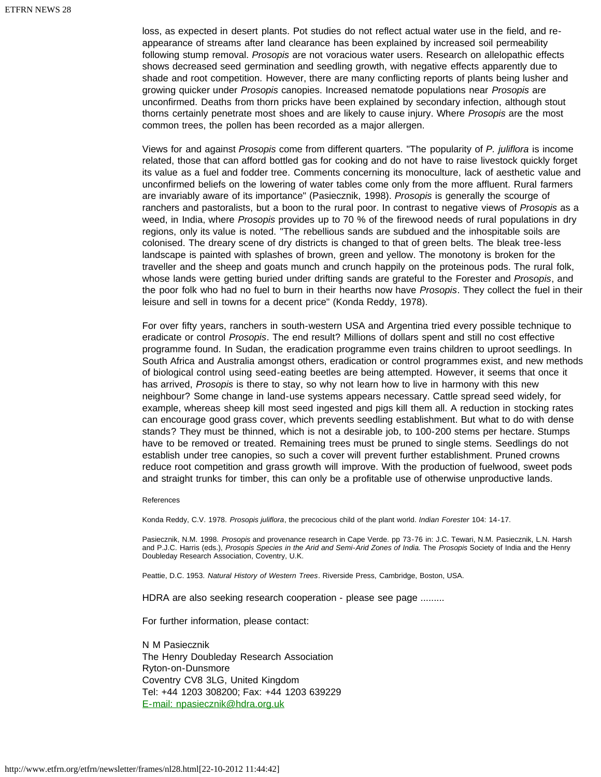loss, as expected in desert plants. Pot studies do not reflect actual water use in the field, and reappearance of streams after land clearance has been explained by increased soil permeability following stump removal. *Prosopis* are not voracious water users. Research on allelopathic effects shows decreased seed germination and seedling growth, with negative effects apparently due to shade and root competition. However, there are many conflicting reports of plants being lusher and growing quicker under *Prosopis* canopies. Increased nematode populations near *Prosopis* are unconfirmed. Deaths from thorn pricks have been explained by secondary infection, although stout thorns certainly penetrate most shoes and are likely to cause injury. Where *Prosopis* are the most common trees, the pollen has been recorded as a major allergen.

Views for and against *Prosopis* come from different quarters. "The popularity of *P. juliflora* is income related, those that can afford bottled gas for cooking and do not have to raise livestock quickly forget its value as a fuel and fodder tree. Comments concerning its monoculture, lack of aesthetic value and unconfirmed beliefs on the lowering of water tables come only from the more affluent. Rural farmers are invariably aware of its importance" (Pasiecznik, 1998). *Prosopis* is generally the scourge of ranchers and pastoralists, but a boon to the rural poor. In contrast to negative views of *Prosopis* as a weed, in India, where *Prosopis* provides up to 70 % of the firewood needs of rural populations in dry regions, only its value is noted. "The rebellious sands are subdued and the inhospitable soils are colonised. The dreary scene of dry districts is changed to that of green belts. The bleak tree-less landscape is painted with splashes of brown, green and yellow. The monotony is broken for the traveller and the sheep and goats munch and crunch happily on the proteinous pods. The rural folk, whose lands were getting buried under drifting sands are grateful to the Forester and *Prosopis*, and the poor folk who had no fuel to burn in their hearths now have *Prosopis*. They collect the fuel in their leisure and sell in towns for a decent price" (Konda Reddy, 1978).

For over fifty years, ranchers in south-western USA and Argentina tried every possible technique to eradicate or control *Prosopis*. The end result? Millions of dollars spent and still no cost effective programme found. In Sudan, the eradication programme even trains children to uproot seedlings. In South Africa and Australia amongst others, eradication or control programmes exist, and new methods of biological control using seed-eating beetles are being attempted. However, it seems that once it has arrived, *Prosopis* is there to stay, so why not learn how to live in harmony with this new neighbour? Some change in land-use systems appears necessary. Cattle spread seed widely, for example, whereas sheep kill most seed ingested and pigs kill them all. A reduction in stocking rates can encourage good grass cover, which prevents seedling establishment. But what to do with dense stands? They must be thinned, which is not a desirable job, to 100-200 stems per hectare. Stumps have to be removed or treated. Remaining trees must be pruned to single stems. Seedlings do not establish under tree canopies, so such a cover will prevent further establishment. Pruned crowns reduce root competition and grass growth will improve. With the production of fuelwood, sweet pods and straight trunks for timber, this can only be a profitable use of otherwise unproductive lands.

#### References

Konda Reddy, C.V. 1978. *Prosopis juliflora*, the precocious child of the plant world. *Indian Forester* 104: 14-17.

Pasiecznik, N.M. 1998. *Prosopis* and provenance research in Cape Verde. pp 73-76 in: J.C. Tewari, N.M. Pasiecznik, L.N. Harsh and P.J.C. Harris (eds.), *Prosopis Species in the Arid and Semi-Arid Zones of India.* The *Prosopis* Society of India and the Henry Doubleday Research Association, Coventry, U.K.

Peattie, D.C. 1953. *Natural History of Western Trees*. Riverside Press, Cambridge, Boston, USA.

HDRA are also seeking research cooperation - please see page .........

For further information, please contact:

<span id="page-15-0"></span>N M Pasiecznik The Henry Doubleday Research Association Ryton-on-Dunsmore Coventry CV8 3LG, United Kingdom Tel: +44 1203 308200; Fax: +44 1203 639229 [E-mail: npasiecznik@hdra.org.uk](mailto:npasiecznik@hdra.org.uk)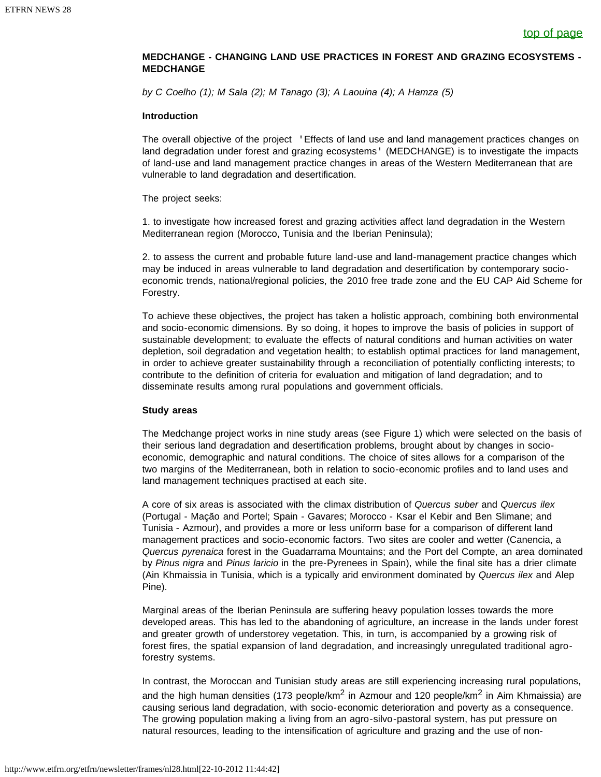### **MEDCHANGE - CHANGING LAND USE PRACTICES IN FOREST AND GRAZING ECOSYSTEMS - MEDCHANGE**

*by C Coelho (1); M Sala (2); M Tanago (3); A Laouina (4); A Hamza (5)*

### **Introduction**

The overall objective of the project 'Effects of land use and land management practices changes on land degradation under forest and grazing ecosystems' (MEDCHANGE) is to investigate the impacts of land-use and land management practice changes in areas of the Western Mediterranean that are vulnerable to land degradation and desertification.

### The project seeks:

1. to investigate how increased forest and grazing activities affect land degradation in the Western Mediterranean region (Morocco, Tunisia and the Iberian Peninsula);

2. to assess the current and probable future land-use and land-management practice changes which may be induced in areas vulnerable to land degradation and desertification by contemporary socioeconomic trends, national/regional policies, the 2010 free trade zone and the EU CAP Aid Scheme for Forestry.

To achieve these objectives, the project has taken a holistic approach, combining both environmental and socio-economic dimensions. By so doing, it hopes to improve the basis of policies in support of sustainable development; to evaluate the effects of natural conditions and human activities on water depletion, soil degradation and vegetation health; to establish optimal practices for land management, in order to achieve greater sustainability through a reconciliation of potentially conflicting interests; to contribute to the definition of criteria for evaluation and mitigation of land degradation; and to disseminate results among rural populations and government officials.

### **Study areas**

The Medchange project works in nine study areas (see Figure 1) which were selected on the basis of their serious land degradation and desertification problems, brought about by changes in socioeconomic, demographic and natural conditions. The choice of sites allows for a comparison of the two margins of the Mediterranean, both in relation to socio-economic profiles and to land uses and land management techniques practised at each site.

A core of six areas is associated with the climax distribution of *Quercus suber* and *Quercus ilex* (Portugal - Mação and Portel; Spain - Gavares; Morocco - Ksar el Kebir and Ben Slimane; and Tunisia - Azmour), and provides a more or less uniform base for a comparison of different land management practices and socio-economic factors. Two sites are cooler and wetter (Canencia, a *Quercus pyrenaica* forest in the Guadarrama Mountains; and the Port del Compte, an area dominated by *Pinus nigra* and *Pinus laricio* in the pre-Pyrenees in Spain), while the final site has a drier climate (Ain Khmaissia in Tunisia, which is a typically arid environment dominated by *Quercus ilex* and Alep Pine).

Marginal areas of the Iberian Peninsula are suffering heavy population losses towards the more developed areas. This has led to the abandoning of agriculture, an increase in the lands under forest and greater growth of understorey vegetation. This, in turn, is accompanied by a growing risk of forest fires, the spatial expansion of land degradation, and increasingly unregulated traditional agroforestry systems.

In contrast, the Moroccan and Tunisian study areas are still experiencing increasing rural populations, and the high human densities (173 people/km<sup>2</sup> in Azmour and 120 people/km<sup>2</sup> in Aim Khmaissia) are causing serious land degradation, with socio-economic deterioration and poverty as a consequence. The growing population making a living from an agro-silvo-pastoral system, has put pressure on natural resources, leading to the intensification of agriculture and grazing and the use of non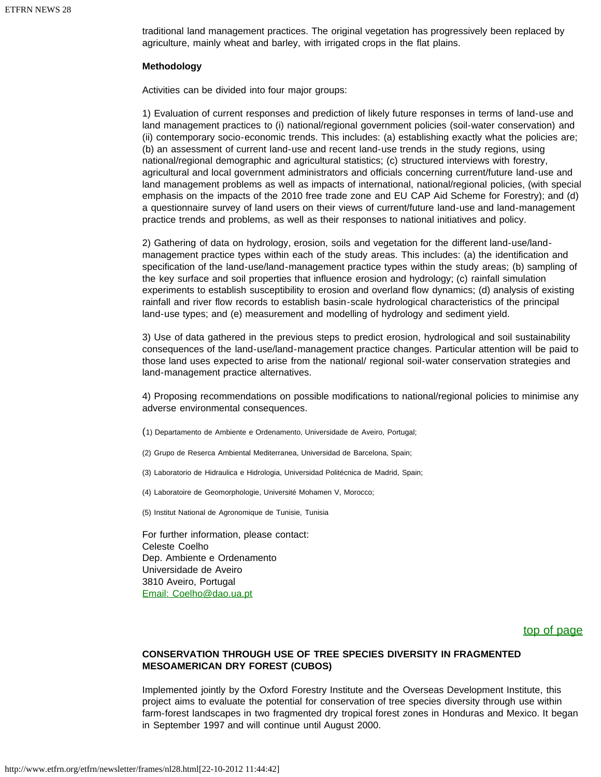traditional land management practices. The original vegetation has progressively been replaced by agriculture, mainly wheat and barley, with irrigated crops in the flat plains.

### **Methodology**

Activities can be divided into four major groups:

1) Evaluation of current responses and prediction of likely future responses in terms of land-use and land management practices to (i) national/regional government policies (soil-water conservation) and (ii) contemporary socio-economic trends. This includes: (a) establishing exactly what the policies are; (b) an assessment of current land-use and recent land-use trends in the study regions, using national/regional demographic and agricultural statistics; (c) structured interviews with forestry, agricultural and local government administrators and officials concerning current/future land-use and land management problems as well as impacts of international, national/regional policies, (with special emphasis on the impacts of the 2010 free trade zone and EU CAP Aid Scheme for Forestry); and (d) a questionnaire survey of land users on their views of current/future land-use and land-management practice trends and problems, as well as their responses to national initiatives and policy.

2) Gathering of data on hydrology, erosion, soils and vegetation for the different land-use/landmanagement practice types within each of the study areas. This includes: (a) the identification and specification of the land-use/land-management practice types within the study areas; (b) sampling of the key surface and soil properties that influence erosion and hydrology; (c) rainfall simulation experiments to establish susceptibility to erosion and overland flow dynamics; (d) analysis of existing rainfall and river flow records to establish basin-scale hydrological characteristics of the principal land-use types; and (e) measurement and modelling of hydrology and sediment yield.

3) Use of data gathered in the previous steps to predict erosion, hydrological and soil sustainability consequences of the land-use/land-management practice changes. Particular attention will be paid to those land uses expected to arise from the national/ regional soil-water conservation strategies and land-management practice alternatives.

4) Proposing recommendations on possible modifications to national/regional policies to minimise any adverse environmental consequences.

- (1) Departamento de Ambiente e Ordenamento, Universidade de Aveiro, Portugal;
- (2) Grupo de Reserca Ambiental Mediterranea, Universidad de Barcelona, Spain;
- (3) Laboratorio de Hidraulica e Hidrologia, Universidad Politécnica de Madrid, Spain;
- (4) Laboratoire de Geomorphologie, Université Mohamen V, Morocco;

(5) Institut National de Agronomique de Tunisie, Tunisia

For further information, please contact: Celeste Coelho Dep. Ambiente e Ordenamento Universidade de Aveiro 3810 Aveiro, Portugal [Email: Coelho@dao.ua.pt](mailto:Coelho@dao.ua.pt)

### [top of page](#page-6-1)

### <span id="page-17-0"></span>**CONSERVATION THROUGH USE OF TREE SPECIES DIVERSITY IN FRAGMENTED MESOAMERICAN DRY FOREST (CUBOS)**

Implemented jointly by the Oxford Forestry Institute and the Overseas Development Institute, this project aims to evaluate the potential for conservation of tree species diversity through use within farm-forest landscapes in two fragmented dry tropical forest zones in Honduras and Mexico. It began in September 1997 and will continue until August 2000.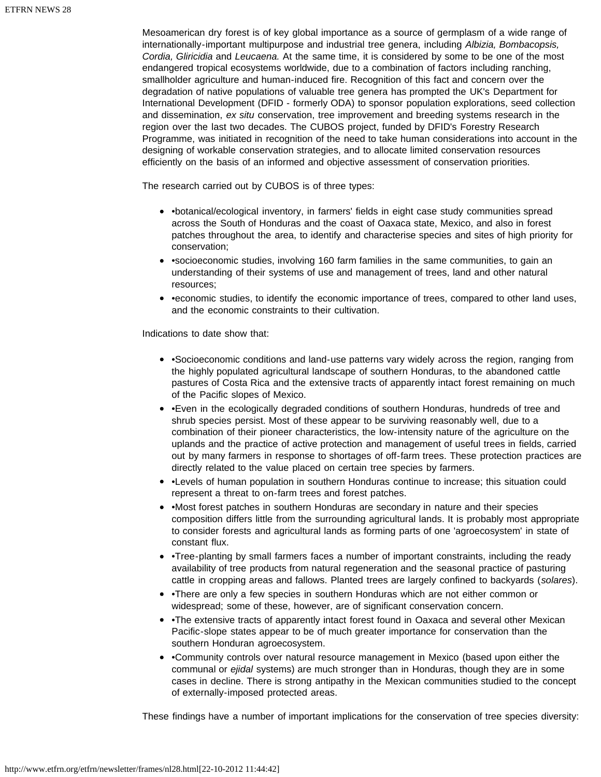Mesoamerican dry forest is of key global importance as a source of germplasm of a wide range of internationally-important multipurpose and industrial tree genera, including *Albizia, Bombacopsis, Cordia, Gliricidia* and *Leucaena.* At the same time, it is considered by some to be one of the most endangered tropical ecosystems worldwide, due to a combination of factors including ranching, smallholder agriculture and human-induced fire. Recognition of this fact and concern over the degradation of native populations of valuable tree genera has prompted the UK's Department for International Development (DFID - formerly ODA) to sponsor population explorations, seed collection and dissemination, *ex situ* conservation, tree improvement and breeding systems research in the region over the last two decades. The CUBOS project, funded by DFID's Forestry Research Programme, was initiated in recognition of the need to take human considerations into account in the designing of workable conservation strategies, and to allocate limited conservation resources efficiently on the basis of an informed and objective assessment of conservation priorities.

The research carried out by CUBOS is of three types:

- •botanical/ecological inventory, in farmers' fields in eight case study communities spread across the South of Honduras and the coast of Oaxaca state, Mexico, and also in forest patches throughout the area, to identify and characterise species and sites of high priority for conservation;
- •socioeconomic studies, involving 160 farm families in the same communities, to gain an understanding of their systems of use and management of trees, land and other natural resources;
- • economic studies, to identify the economic importance of trees, compared to other land uses, and the economic constraints to their cultivation.

Indications to date show that:

- •Socioeconomic conditions and land-use patterns vary widely across the region, ranging from the highly populated agricultural landscape of southern Honduras, to the abandoned cattle pastures of Costa Rica and the extensive tracts of apparently intact forest remaining on much of the Pacific slopes of Mexico.
- •Even in the ecologically degraded conditions of southern Honduras, hundreds of tree and shrub species persist. Most of these appear to be surviving reasonably well, due to a combination of their pioneer characteristics, the low-intensity nature of the agriculture on the uplands and the practice of active protection and management of useful trees in fields, carried out by many farmers in response to shortages of off-farm trees. These protection practices are directly related to the value placed on certain tree species by farmers.
- •Levels of human population in southern Honduras continue to increase; this situation could represent a threat to on-farm trees and forest patches.
- •Most forest patches in southern Honduras are secondary in nature and their species composition differs little from the surrounding agricultural lands. It is probably most appropriate to consider forests and agricultural lands as forming parts of one 'agroecosystem' in state of constant flux.
- •Tree-planting by small farmers faces a number of important constraints, including the ready availability of tree products from natural regeneration and the seasonal practice of pasturing cattle in cropping areas and fallows. Planted trees are largely confined to backyards (*solares*).
- •There are only a few species in southern Honduras which are not either common or widespread; some of these, however, are of significant conservation concern.
- •The extensive tracts of apparently intact forest found in Oaxaca and several other Mexican Pacific-slope states appear to be of much greater importance for conservation than the southern Honduran agroecosystem.
- •Community controls over natural resource management in Mexico (based upon either the communal or *ejidal* systems) are much stronger than in Honduras, though they are in some cases in decline. There is strong antipathy in the Mexican communities studied to the concept of externally-imposed protected areas.

These findings have a number of important implications for the conservation of tree species diversity: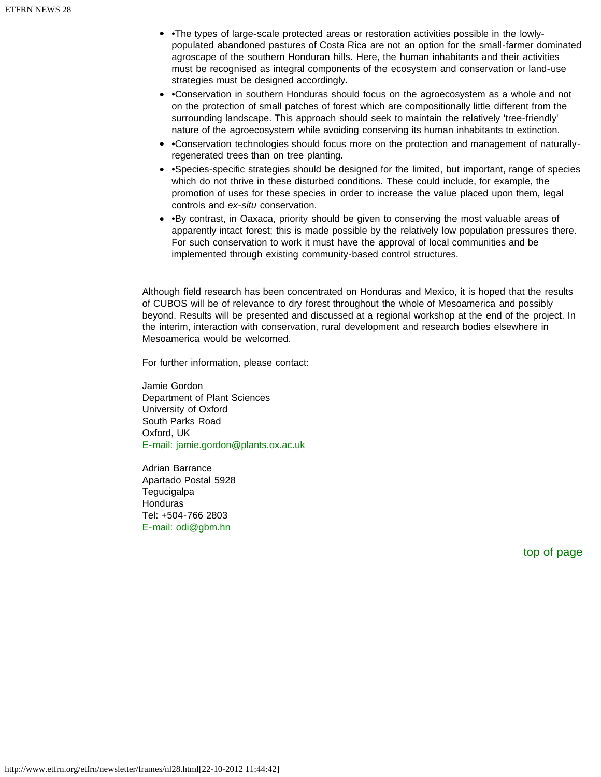- •The types of large-scale protected areas or restoration activities possible in the lowlypopulated abandoned pastures of Costa Rica are not an option for the small-farmer dominated agroscape of the southern Honduran hills. Here, the human inhabitants and their activities must be recognised as integral components of the ecosystem and conservation or land-use strategies must be designed accordingly.
- •Conservation in southern Honduras should focus on the agroecosystem as a whole and not on the protection of small patches of forest which are compositionally little different from the surrounding landscape. This approach should seek to maintain the relatively 'tree-friendly' nature of the agroecosystem while avoiding conserving its human inhabitants to extinction.
- •Conservation technologies should focus more on the protection and management of naturallyregenerated trees than on tree planting.
- •Species-specific strategies should be designed for the limited, but important, range of species which do not thrive in these disturbed conditions. These could include, for example, the promotion of uses for these species in order to increase the value placed upon them, legal controls and *ex-situ* conservation.
- •By contrast, in Oaxaca, priority should be given to conserving the most valuable areas of apparently intact forest; this is made possible by the relatively low population pressures there. For such conservation to work it must have the approval of local communities and be implemented through existing community-based control structures.

Although field research has been concentrated on Honduras and Mexico, it is hoped that the results of CUBOS will be of relevance to dry forest throughout the whole of Mesoamerica and possibly beyond. Results will be presented and discussed at a regional workshop at the end of the project. In the interim, interaction with conservation, rural development and research bodies elsewhere in Mesoamerica would be welcomed.

For further information, please contact:

Jamie Gordon Department of Plant Sciences University of Oxford South Parks Road Oxford, UK [E-mail: jamie.gordon@plants.ox.ac.uk](mailto:jamie.gordon@plants.ox.ac.uk)

Adrian Barrance Apartado Postal 5928 **Tegucigalpa** Honduras Tel: +504-766 2803 [E-mail: odi@gbm.hn](mailto:odi@gbm.hn)

[top of page](#page-6-1)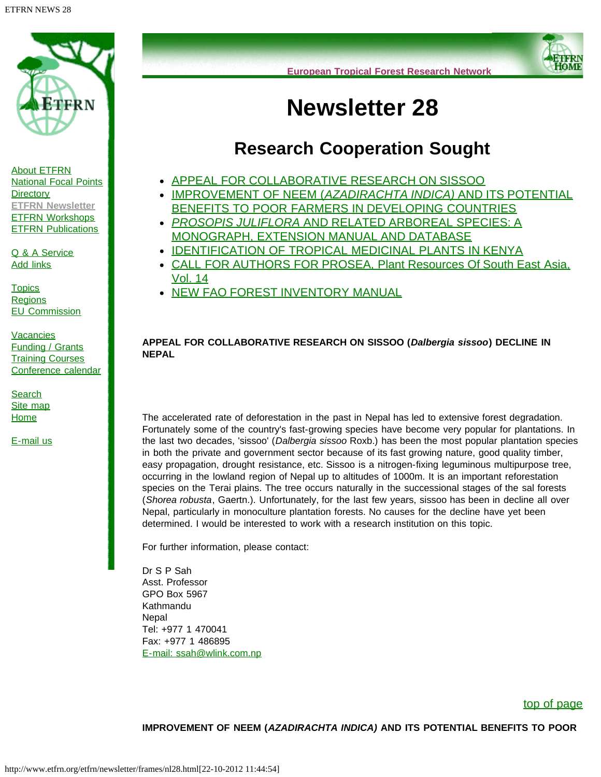<span id="page-20-2"></span>

[About ETFRN](http://www.etfrn.org/etfrn/network/about.html) [National Focal Points](http://www.etfrn.org/etfrn/network/natnodes.html) **[Directory](http://www.etfrn.org/etfrn/network/dir.html) [ETFRN Newsletter](http://www.etfrn.org/etfrn/resource/news.html)** [ETFRN Workshops](http://www.etfrn.org/etfrn/workshop/index.html) **[ETFRN Publications](http://www.etfrn.org/etfrn/resource/publications.html)** 

[Q & A Service](http://www.etfrn.org/etfrn/qanda/index.html) [Add links](http://www.etfrn.org/etfrn/addlinks/index.html)

**[Topics](http://www.etfrn.org/etfrn/topics/index.html) [Regions](http://www.etfrn.org/etfrn/regions/index.html)** [EU Commission](http://www.etfrn.org/etfrn/eucomm/index.html)

<span id="page-20-0"></span>**[Vacancies](http://www.etfrn.org/etfrn/resource/frames/job.html)** [Funding / Grants](http://www.etfrn.org/etfrn/resource/frames/linkfund.html) **[Training Courses](http://www.etfrn.org/etfrn/resource/frames/courseagenda.html)** [Conference calendar](http://www.etfrn.org/etfrn/resource/frames/agenda.html)

**[Search](http://www.etfrn.org/etfrn/site/search.html)** [Site map](http://www.etfrn.org/etfrn/site/sitemap.html) [Home](http://www.etfrn.org/etfrn/index.html)

[E-mail us](mailto:etfrn@etfrn.org)



# **Newsletter 28**

# **Research Cooperation Sought**

- [APPEAL FOR COLLABORATIVE RESEARCH ON SISSOO](#page-20-0)
- [IMPROVEMENT OF NEEM \(](#page-20-1)*[AZADIRACHTA INDICA\)](#page-20-1)* [AND ITS POTENTIAL](#page-20-1) [BENEFITS TO POOR FARMERS IN DEVELOPING COUNTRIES](#page-20-1)
- *[PROSOPIS JULIFLORA](#page-21-0)* [AND RELATED ARBOREAL SPECIES: A](#page-21-0) [MONOGRAPH, EXTENSION MANUAL AND DATABASE](#page-21-0)
- **[IDENTIFICATION OF TROPICAL MEDICINAL PLANTS IN KENYA](#page-21-1)**
- [CALL FOR AUTHORS FOR PROSEA, Plant Resources Of South East Asia,](#page-22-0) [Vol. 14](#page-22-0)
- [NEW FAO FOREST INVENTORY MANUAL](#page-23-0)

### **APPEAL FOR COLLABORATIVE RESEARCH ON SISSOO (***Dalbergia sissoo***) DECLINE IN NEPAL**

The accelerated rate of deforestation in the past in Nepal has led to extensive forest degradation. Fortunately some of the country's fast-growing species have become very popular for plantations. In the last two decades, 'sissoo' (*Dalbergia sissoo* Roxb.) has been the most popular plantation species in both the private and government sector because of its fast growing nature, good quality timber, easy propagation, drought resistance, etc. Sissoo is a nitrogen-fixing leguminous multipurpose tree, occurring in the lowland region of Nepal up to altitudes of 1000m. It is an important reforestation species on the Terai plains. The tree occurs naturally in the successional stages of the sal forests (*Shorea robusta*, Gaertn.). Unfortunately, for the last few years, sissoo has been in decline all over Nepal, particularly in monoculture plantation forests. No causes for the decline have yet been determined. I would be interested to work with a research institution on this topic.

For further information, please contact:

Dr S P Sah Asst. Professor GPO Box 5967 Kathmandu **Nepal** Tel: +977 1 470041 Fax: +977 1 486895 [E-mail: ssah@wlink.com.np](mailto:ssah@wlink.com.np)

### [top of page](#page-20-2)

### <span id="page-20-1"></span>**IMPROVEMENT OF NEEM (***AZADIRACHTA INDICA)* **AND ITS POTENTIAL BENEFITS TO POOR**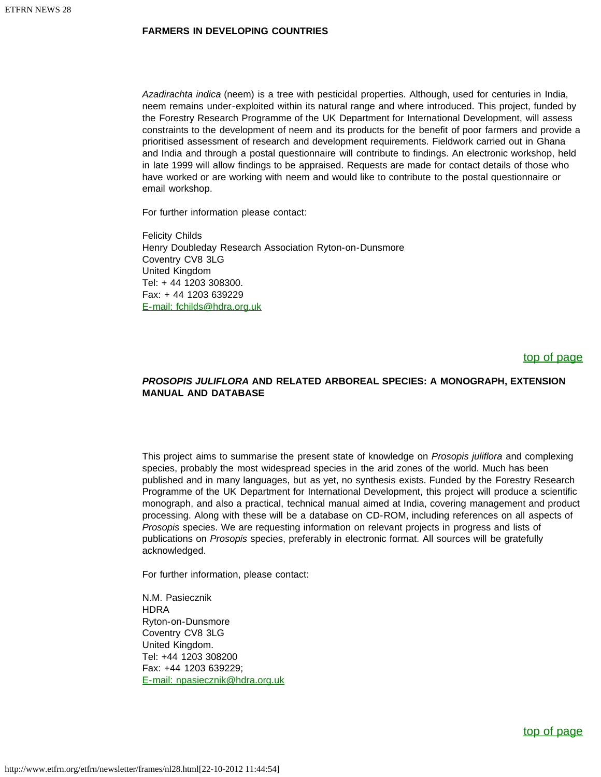### **FARMERS IN DEVELOPING COUNTRIES**

*Azadirachta indica* (neem) is a tree with pesticidal properties. Although, used for centuries in India, neem remains under-exploited within its natural range and where introduced. This project, funded by the Forestry Research Programme of the UK Department for International Development, will assess constraints to the development of neem and its products for the benefit of poor farmers and provide a prioritised assessment of research and development requirements. Fieldwork carried out in Ghana and India and through a postal questionnaire will contribute to findings. An electronic workshop, held in late 1999 will allow findings to be appraised. Requests are made for contact details of those who have worked or are working with neem and would like to contribute to the postal questionnaire or email workshop.

For further information please contact:

Felicity Childs Henry Doubleday Research Association Ryton-on-Dunsmore Coventry CV8 3LG United Kingdom Tel: + 44 1203 308300. Fax: + 44 1203 639229 [E-mail: fchilds@hdra.org.uk](mailto:fchilds@hdra.org.uk)

### [top of page](#page-20-2)

### <span id="page-21-0"></span>*PROSOPIS JULIFLORA* **AND RELATED ARBOREAL SPECIES: A MONOGRAPH, EXTENSION MANUAL AND DATABASE**

This project aims to summarise the present state of knowledge on *Prosopis juliflora* and complexing species, probably the most widespread species in the arid zones of the world. Much has been published and in many languages, but as yet, no synthesis exists. Funded by the Forestry Research Programme of the UK Department for International Development, this project will produce a scientific monograph, and also a practical, technical manual aimed at India, covering management and product processing. Along with these will be a database on CD-ROM, including references on all aspects of *Prosopis* species. We are requesting information on relevant projects in progress and lists of publications on *Prosopis* species, preferably in electronic format. All sources will be gratefully acknowledged.

For further information, please contact:

<span id="page-21-1"></span>N.M. Pasiecznik **HDRA** Ryton-on-Dunsmore Coventry CV8 3LG United Kingdom. Tel: +44 1203 308200 Fax: +44 1203 639229; [E-mail: npasiecznik@hdra.org.uk](mailto:npasiecznik@hdra.org.uk)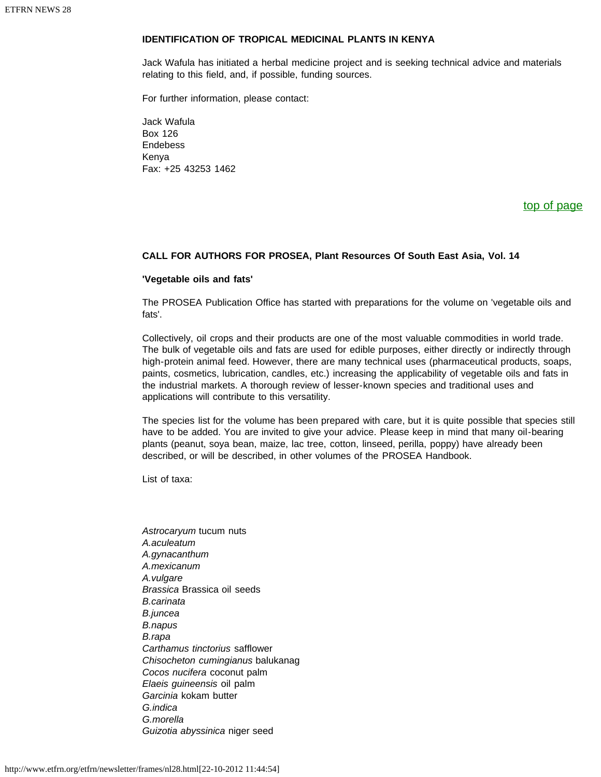### **IDENTIFICATION OF TROPICAL MEDICINAL PLANTS IN KENYA**

Jack Wafula has initiated a herbal medicine project and is seeking technical advice and materials relating to this field, and, if possible, funding sources.

For further information, please contact:

Jack Wafula Box 126 Endebess Kenya Fax: +25 43253 1462

### [top of page](#page-20-2)

### <span id="page-22-0"></span>**CALL FOR AUTHORS FOR PROSEA, Plant Resources Of South East Asia, Vol. 14**

### **'Vegetable oils and fats'**

The PROSEA Publication Office has started with preparations for the volume on 'vegetable oils and fats'.

Collectively, oil crops and their products are one of the most valuable commodities in world trade. The bulk of vegetable oils and fats are used for edible purposes, either directly or indirectly through high-protein animal feed. However, there are many technical uses (pharmaceutical products, soaps, paints, cosmetics, lubrication, candles, etc.) increasing the applicability of vegetable oils and fats in the industrial markets. A thorough review of lesser-known species and traditional uses and applications will contribute to this versatility.

The species list for the volume has been prepared with care, but it is quite possible that species still have to be added. You are invited to give your advice. Please keep in mind that many oil-bearing plants (peanut, soya bean, maize, lac tree, cotton, linseed, perilla, poppy) have already been described, or will be described, in other volumes of the PROSEA Handbook.

List of taxa:

*Astrocaryum* tucum nuts *A.aculeatum A.gynacanthum A.mexicanum A.vulgare Brassica* Brassica oil seeds *B.carinata B.juncea B.napus B.rapa Carthamus tinctorius* safflower *Chisocheton cumingianus* balukanag *Cocos nucifera* coconut palm *Elaeis guineensis* oil palm *Garcinia* kokam butter *G.indica G.morella Guizotia abyssinica* niger seed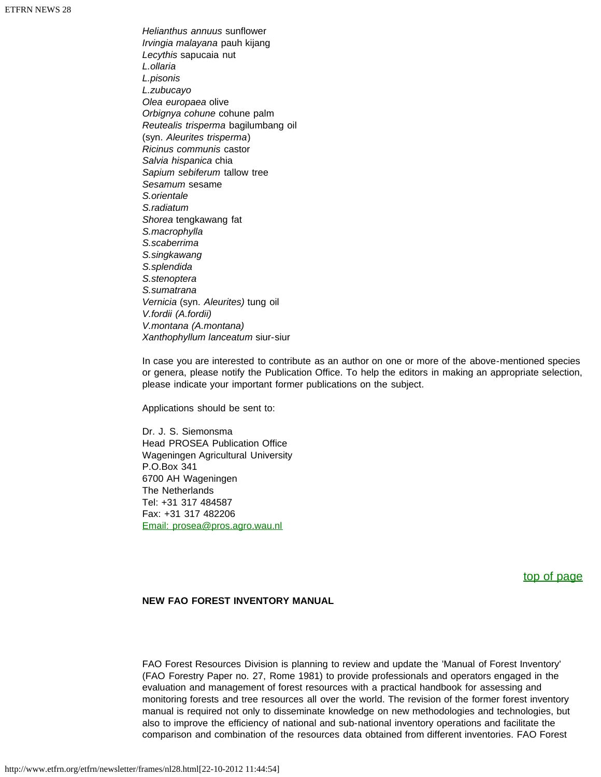*Helianthus annuus* sunflower *Irvingia malayana* pauh kijang *Lecythis* sapucaia nut *L.ollaria L.pisonis L.zubucayo Olea europaea* olive *Orbignya cohune* cohune palm *Reutealis trisperma* bagilumbang oil (syn. *Aleurites trisperma*) *Ricinus communis* castor *Salvia hispanica* chia *Sapium sebiferum* tallow tree *Sesamum* sesame *S.orientale S.radiatum Shorea* tengkawang fat *S.macrophylla S.scaberrima S.singkawang S.splendida S.stenoptera S.sumatrana Vernicia* (syn. *Aleurites)* tung oil *V.fordii (A.fordii) V.montana (A.montana) Xanthophyllum lanceatum* siur-siur

In case you are interested to contribute as an author on one or more of the above-mentioned species or genera, please notify the Publication Office. To help the editors in making an appropriate selection, please indicate your important former publications on the subject.

Applications should be sent to:

Dr. J. S. Siemonsma Head PROSEA Publication Office Wageningen Agricultural University P.O.Box 341 6700 AH Wageningen The Netherlands Tel: +31 317 484587 Fax: +31 317 482206 [Email: prosea@pros.agro.wau.nl](mailto:prosea@pros.agro.wau.nl)

[top of page](#page-20-2)

### <span id="page-23-0"></span>**NEW FAO FOREST INVENTORY MANUAL**

FAO Forest Resources Division is planning to review and update the 'Manual of Forest Inventory' (FAO Forestry Paper no. 27, Rome 1981) to provide professionals and operators engaged in the evaluation and management of forest resources with a practical handbook for assessing and monitoring forests and tree resources all over the world. The revision of the former forest inventory manual is required not only to disseminate knowledge on new methodologies and technologies, but also to improve the efficiency of national and sub-national inventory operations and facilitate the comparison and combination of the resources data obtained from different inventories. FAO Forest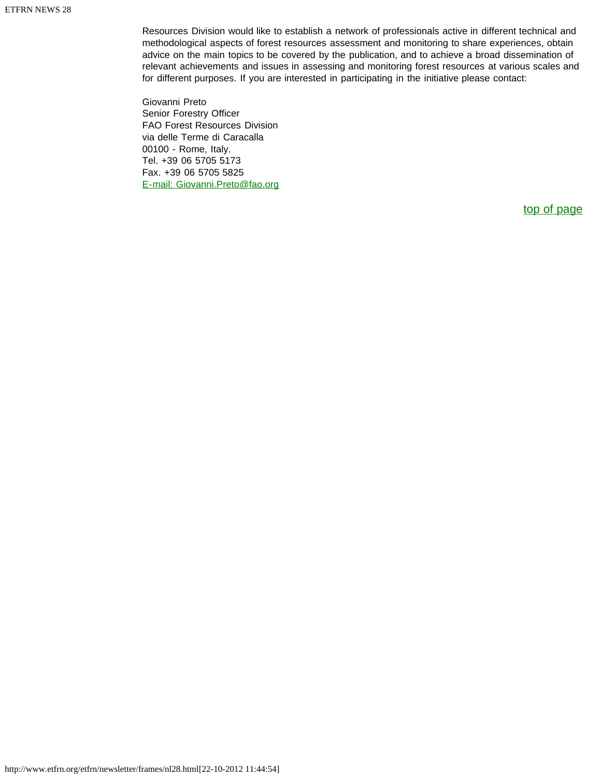Resources Division would like to establish a network of professionals active in different technical and methodological aspects of forest resources assessment and monitoring to share experiences, obtain advice on the main topics to be covered by the publication, and to achieve a broad dissemination of relevant achievements and issues in assessing and monitoring forest resources at various scales and for different purposes. If you are interested in participating in the initiative please contact:

Giovanni Preto Senior Forestry Officer FAO Forest Resources Division via delle Terme di Caracalla 00100 - Rome, Italy. Tel. +39 06 5705 5173 Fax. +39 06 5705 5825 [E-mail: Giovanni.Preto@fao.org](mailto:Giovanni.Preto@fao.org)

[top of page](#page-20-2)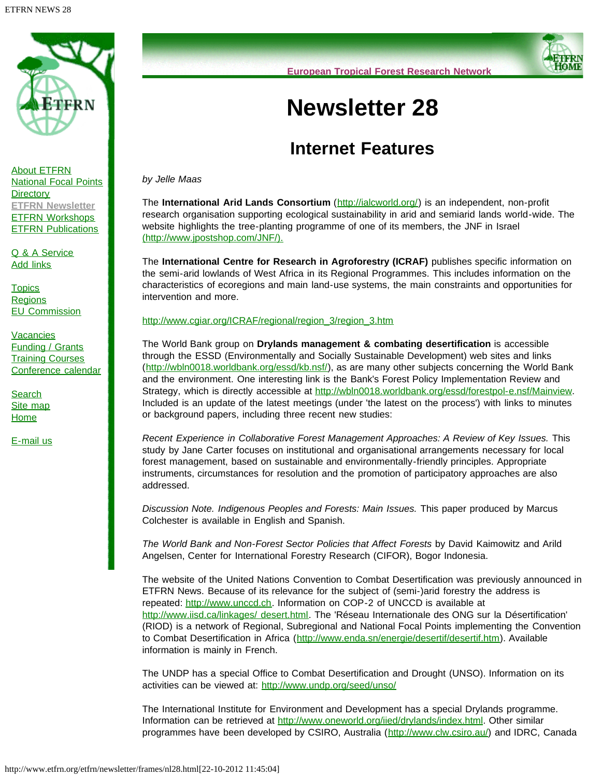<span id="page-25-0"></span>

[About ETFRN](http://www.etfrn.org/etfrn/network/about.html) [National Focal Points](http://www.etfrn.org/etfrn/network/natnodes.html) **[Directory](http://www.etfrn.org/etfrn/network/dir.html) [ETFRN Newsletter](http://www.etfrn.org/etfrn/resource/news.html)** [ETFRN Workshops](http://www.etfrn.org/etfrn/workshop/index.html) **[ETFRN Publications](http://www.etfrn.org/etfrn/resource/publications.html)** 

[Q & A Service](http://www.etfrn.org/etfrn/qanda/index.html) [Add links](http://www.etfrn.org/etfrn/addlinks/index.html)

**[Topics](http://www.etfrn.org/etfrn/topics/index.html) [Regions](http://www.etfrn.org/etfrn/regions/index.html)** [EU Commission](http://www.etfrn.org/etfrn/eucomm/index.html)

**[Vacancies](http://www.etfrn.org/etfrn/resource/frames/job.html)** [Funding / Grants](http://www.etfrn.org/etfrn/resource/frames/linkfund.html) **[Training Courses](http://www.etfrn.org/etfrn/resource/frames/courseagenda.html)** [Conference calendar](http://www.etfrn.org/etfrn/resource/frames/agenda.html)

**[Search](http://www.etfrn.org/etfrn/site/search.html)** [Site map](http://www.etfrn.org/etfrn/site/sitemap.html) **[Home](http://www.etfrn.org/etfrn/index.html)** 

[E-mail us](mailto:etfrn@etfrn.org)



# **Newsletter 28**

# **Internet Features**

*by Jelle Maas*

The **International Arid Lands Consortium** ([http://ialcworld.org/\)](http://ialcworld.org/) is an independent, non-profit research organisation supporting ecological sustainability in arid and semiarid lands world-wide. The website highlights the tree-planting programme of one of its members, the JNF in Israel [\(http://www.jpostshop.com/JNF/\).](http://www.jpostshop.com/JNF/)

The **International Centre for Research in Agroforestry (ICRAF)** publishes specific information on the semi-arid lowlands of West Africa in its Regional Programmes. This includes information on the characteristics of ecoregions and main land-use systems, the main constraints and opportunities for intervention and more.

[http://www.cgiar.org/ICRAF/regional/region\\_3/region\\_3.htm](http://www.cgiar.org/ICRAF/regional/region_3/region_3.htm)

The World Bank group on **Drylands management & combating desertification** is accessible through the ESSD (Environmentally and Socially Sustainable Development) web sites and links (<http://wbln0018.worldbank.org/essd/kb.nsf/>), as are many other subjects concerning the World Bank and the environment. One interesting link is the Bank's Forest Policy Implementation Review and Strategy, which is directly accessible at <http://wbln0018.worldbank.org/essd/forestpol-e.nsf/Mainview>. Included is an update of the latest meetings (under 'the latest on the process') with links to minutes or background papers, including three recent new studies:

*Recent Experience in Collaborative Forest Management Approaches: A Review of Key Issues.* This study by Jane Carter focuses on institutional and organisational arrangements necessary for local forest management, based on sustainable and environmentally-friendly principles. Appropriate instruments, circumstances for resolution and the promotion of participatory approaches are also addressed.

*Discussion Note. Indigenous Peoples and Forests: Main Issues.* This paper produced by Marcus Colchester is available in English and Spanish.

*The World Bank and Non-Forest Sector Policies that Affect Forests* by David Kaimowitz and Arild Angelsen, Center for International Forestry Research (CIFOR), Bogor Indonesia.

The website of the United Nations Convention to Combat Desertification was previously announced in ETFRN News. Because of its relevance for the subject of (semi-)arid forestry the address is repeated: [http://www.unccd.ch](http://www.unccd.ch/). Information on COP-2 of UNCCD is available at [http://www.iisd.ca/linkages/ desert.html.](http://www.iisd.ca/linkages/ desert.html) The 'Réseau Internationale des ONG sur la Désertification' (RIOD) is a network of Regional, Subregional and National Focal Points implementing the Convention to Combat Desertification in Africa ([http://www.enda.sn/energie/desertif/desertif.htm\)](http://www.enda.sn/energie/desertif/desertif.htm). Available information is mainly in French.

The UNDP has a special Office to Combat Desertification and Drought (UNSO). Information on its activities can be viewed at: <http://www.undp.org/seed/unso/>

The International Institute for Environment and Development has a special Drylands programme. Information can be retrieved at <http://www.oneworld.org/iied/drylands/index.html>. Other similar programmes have been developed by CSIRO, Australia ([http://www.clw.csiro.au/\)](http://www.clw.csiro.au/) and IDRC, Canada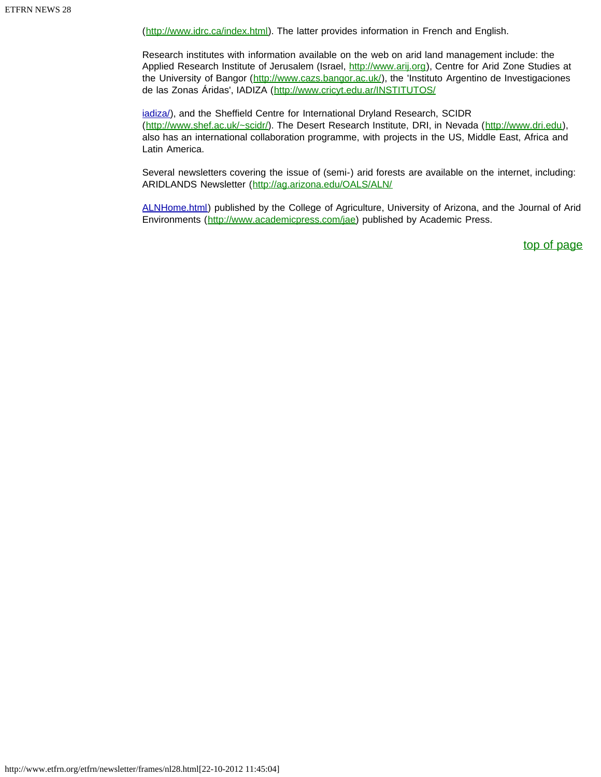([http://www.idrc.ca/index.html\)](http://www.idrc.ca/index.html). The latter provides information in French and English.

Research institutes with information available on the web on arid land management include: the Applied Research Institute of Jerusalem (Israel, [http://www.arij.org\)](http://www.arij.org/), Centre for Arid Zone Studies at the University of Bangor ([http://www.cazs.bangor.ac.uk/\)](http://www.cazs.bangor.ac.uk/), the 'Instituto Argentino de Investigaciones de las Zonas Áridas', IADIZA (<http://www.cricyt.edu.ar/INSTITUTOS/>

iadiza/), and the Sheffield Centre for International Dryland Research, SCIDR ([http://www.shef.ac.uk/~scidr/\)](http://www.shef.ac.uk/~scidr/). The Desert Research Institute, DRI, in Nevada ([http://www.dri.edu\)](http://www.dri.edu/), also has an international collaboration programme, with projects in the US, Middle East, Africa and Latin America.

Several newsletters covering the issue of (semi-) arid forests are available on the internet, including: ARIDLANDS Newsletter (<http://ag.arizona.edu/OALS/ALN/>

ALNHome.html) published by the College of Agriculture, University of Arizona, and the Journal of Arid Environments ([http://www.academicpress.com/jae\)](http://www.academicpress.com/jae) published by Academic Press.

[top of page](#page-25-0)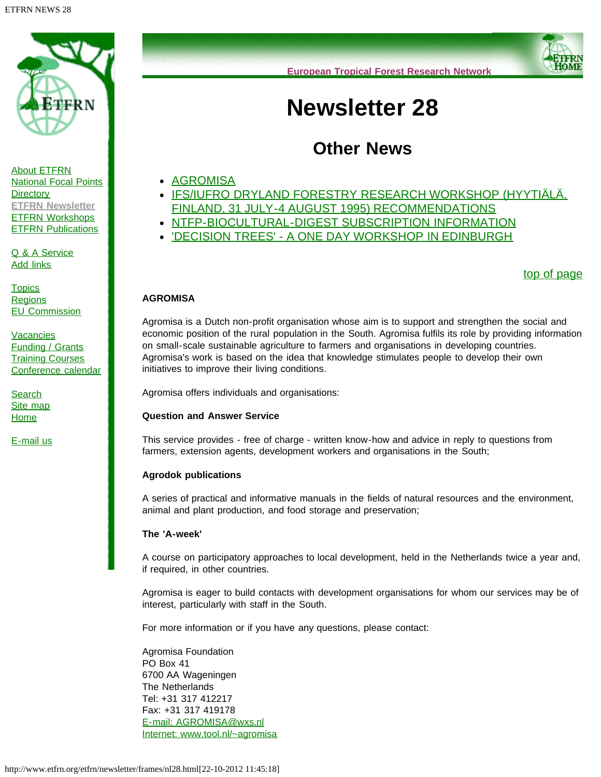<span id="page-27-1"></span>



<span id="page-27-0"></span>[Q & A Service](http://www.etfrn.org/etfrn/qanda/index.html) [Add links](http://www.etfrn.org/etfrn/addlinks/index.html)

**[Topics](http://www.etfrn.org/etfrn/topics/index.html) [Regions](http://www.etfrn.org/etfrn/regions/index.html)** [EU Commission](http://www.etfrn.org/etfrn/eucomm/index.html)

**[Vacancies](http://www.etfrn.org/etfrn/resource/frames/job.html)** [Funding / Grants](http://www.etfrn.org/etfrn/resource/frames/linkfund.html) **[Training Courses](http://www.etfrn.org/etfrn/resource/frames/courseagenda.html)** [Conference calendar](http://www.etfrn.org/etfrn/resource/frames/agenda.html)

**[Search](http://www.etfrn.org/etfrn/site/search.html)** [Site map](http://www.etfrn.org/etfrn/site/sitemap.html) **[Home](http://www.etfrn.org/etfrn/index.html)** 

[E-mail us](mailto:etfrn@etfrn.org)



# **Newsletter 28**

# **Other News**

- [AGROMISA](#page-27-0)
- [IFS/IUFRO DRYLAND FORESTRY RESEARCH WORKSHOP \(HYYTIÄLÄ,](#page-28-0) [FINLAND, 31 JULY-4 AUGUST 1995\) RECOMMENDATIONS](#page-28-0)
- . [NTFP-BIOCULTURAL-DIGEST SUBSCRIPTION INFORMATION](#page-29-0)
- ['DECISION TREES' A ONE DAY WORKSHOP IN EDINBURGH](#page-29-1)

[top of page](#page-27-1)

### **AGROMISA**

Agromisa is a Dutch non-profit organisation whose aim is to support and strengthen the social and economic position of the rural population in the South. Agromisa fulfils its role by providing information on small-scale sustainable agriculture to farmers and organisations in developing countries. Agromisa's work is based on the idea that knowledge stimulates people to develop their own initiatives to improve their living conditions.

Agromisa offers individuals and organisations:

### **Question and Answer Service**

This service provides - free of charge - written know-how and advice in reply to questions from farmers, extension agents, development workers and organisations in the South;

### **Agrodok publications**

A series of practical and informative manuals in the fields of natural resources and the environment, animal and plant production, and food storage and preservation;

### **The 'A-week'**

A course on participatory approaches to local development, held in the Netherlands twice a year and, if required, in other countries.

Agromisa is eager to build contacts with development organisations for whom our services may be of interest, particularly with staff in the South.

For more information or if you have any questions, please contact:

Agromisa Foundation PO Box 41 6700 AA Wageningen The Netherlands Tel: +31 317 412217 Fax: +31 317 419178 [E-mail: AGROMISA@wxs.nl](mailto:AGROMISA@wxs.nl) [Internet: www.tool.nl/~agromisa](http://www.etfrn.org/etfrn/resource/www.tool.nl/%7Eagromisa)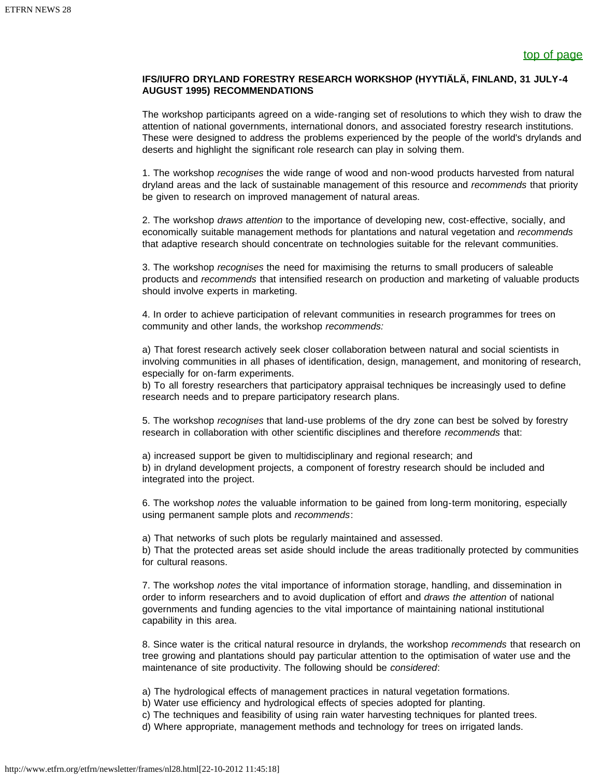### <span id="page-28-0"></span>**IFS/IUFRO DRYLAND FORESTRY RESEARCH WORKSHOP (HYYTIÄLÄ, FINLAND, 31 JULY-4 AUGUST 1995) RECOMMENDATIONS**

The workshop participants agreed on a wide-ranging set of resolutions to which they wish to draw the attention of national governments, international donors, and associated forestry research institutions. These were designed to address the problems experienced by the people of the world's drylands and deserts and highlight the significant role research can play in solving them.

1. The workshop *recognises* the wide range of wood and non-wood products harvested from natural dryland areas and the lack of sustainable management of this resource and *recommends* that priority be given to research on improved management of natural areas.

2. The workshop *draws attention* to the importance of developing new, cost-effective, socially, and economically suitable management methods for plantations and natural vegetation and *recommends* that adaptive research should concentrate on technologies suitable for the relevant communities.

3. The workshop *recognises* the need for maximising the returns to small producers of saleable products and *recommends* that intensified research on production and marketing of valuable products should involve experts in marketing.

4. In order to achieve participation of relevant communities in research programmes for trees on community and other lands, the workshop *recommends:*

a) That forest research actively seek closer collaboration between natural and social scientists in involving communities in all phases of identification, design, management, and monitoring of research, especially for on-farm experiments.

b) To all forestry researchers that participatory appraisal techniques be increasingly used to define research needs and to prepare participatory research plans.

5. The workshop *recognises* that land-use problems of the dry zone can best be solved by forestry research in collaboration with other scientific disciplines and therefore *recommends* that:

a) increased support be given to multidisciplinary and regional research; and b) in dryland development projects, a component of forestry research should be included and integrated into the project.

6. The workshop *notes* the valuable information to be gained from long-term monitoring, especially using permanent sample plots and *recommends*:

a) That networks of such plots be regularly maintained and assessed.

b) That the protected areas set aside should include the areas traditionally protected by communities for cultural reasons.

7. The workshop *notes* the vital importance of information storage, handling, and dissemination in order to inform researchers and to avoid duplication of effort and *draws the attention* of national governments and funding agencies to the vital importance of maintaining national institutional capability in this area.

8. Since water is the critical natural resource in drylands, the workshop *recommends* that research on tree growing and plantations should pay particular attention to the optimisation of water use and the maintenance of site productivity. The following should be *considered*:

a) The hydrological effects of management practices in natural vegetation formations.

b) Water use efficiency and hydrological effects of species adopted for planting.

c) The techniques and feasibility of using rain water harvesting techniques for planted trees.

d) Where appropriate, management methods and technology for trees on irrigated lands.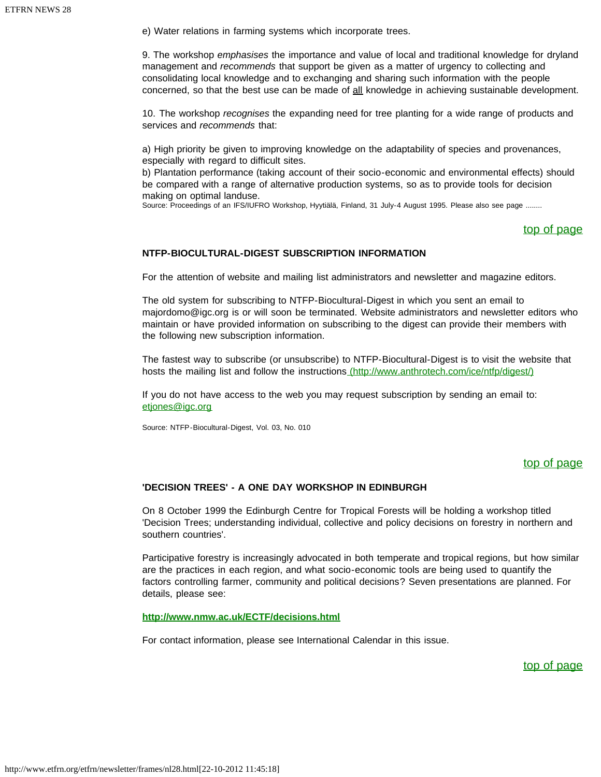e) Water relations in farming systems which incorporate trees.

9. The workshop *emphasises* the importance and value of local and traditional knowledge for dryland management and *recommends* that support be given as a matter of urgency to collecting and consolidating local knowledge and to exchanging and sharing such information with the people concerned, so that the best use can be made of all knowledge in achieving sustainable development.

10. The workshop *recognises* the expanding need for tree planting for a wide range of products and services and *recommends* that:

a) High priority be given to improving knowledge on the adaptability of species and provenances, especially with regard to difficult sites.

b) Plantation performance (taking account of their socio-economic and environmental effects) should be compared with a range of alternative production systems, so as to provide tools for decision making on optimal landuse.

<span id="page-29-0"></span>Source: Proceedings of an IFS/IUFRO Workshop, Hyytiälä, Finland, 31 July-4 August 1995. Please also see page ........

### [top of page](#page-27-1)

### **NTFP-BIOCULTURAL-DIGEST SUBSCRIPTION INFORMATION**

For the attention of website and mailing list administrators and newsletter and magazine editors.

The old system for subscribing to NTFP-Biocultural-Digest in which you sent an email to majordomo@igc.org is or will soon be terminated. Website administrators and newsletter editors who maintain or have provided information on subscribing to the digest can provide their members with the following new subscription information.

The fastest way to subscribe (or unsubscribe) to NTFP-Biocultural-Digest is to visit the website that hosts the mailing list and follow the instructions [\(http://www.anthrotech.com/ice/ntfp/digest/\)](http://www.anthrotech.com/ice/ntfp/digest/)

If you do not have access to the web you may request subscription by sending an email to: [etjones@igc.org](mailto:etjones@igc.org)

<span id="page-29-1"></span>Source: NTFP-Biocultural-Digest, Vol. 03, No. 010

### [top of page](#page-27-1)

### **'DECISION TREES' - A ONE DAY WORKSHOP IN EDINBURGH**

On 8 October 1999 the Edinburgh Centre for Tropical Forests will be holding a workshop titled 'Decision Trees; understanding individual, collective and policy decisions on forestry in northern and southern countries'.

Participative forestry is increasingly advocated in both temperate and tropical regions, but how similar are the practices in each region, and what socio-economic tools are being used to quantify the factors controlling farmer, community and political decisions? Seven presentations are planned. For details, please see:

### **<http://www.nmw.ac.uk/ECTF/decisions.html>**

For contact information, please see International Calendar in this issue.

[top of page](#page-27-1)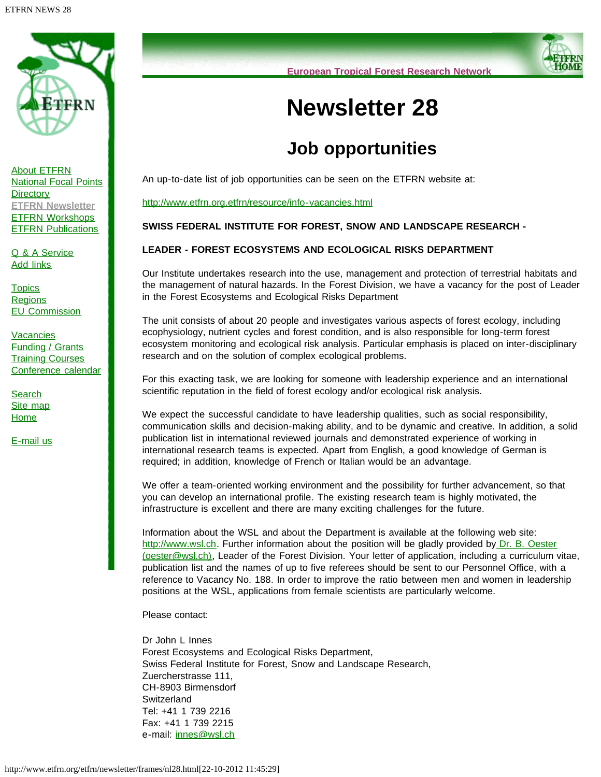

[About ETFRN](http://www.etfrn.org/etfrn/network/about.html) [National Focal Points](http://www.etfrn.org/etfrn/network/natnodes.html) **[Directory](http://www.etfrn.org/etfrn/network/dir.html) [ETFRN Newsletter](http://www.etfrn.org/etfrn/resource/news.html)** [ETFRN Workshops](http://www.etfrn.org/etfrn/workshop/index.html) **[ETFRN Publications](http://www.etfrn.org/etfrn/resource/publications.html)** 

[Q & A Service](http://www.etfrn.org/etfrn/qanda/index.html) [Add links](http://www.etfrn.org/etfrn/addlinks/index.html)

**[Topics](http://www.etfrn.org/etfrn/topics/index.html) [Regions](http://www.etfrn.org/etfrn/regions/index.html)** [EU Commission](http://www.etfrn.org/etfrn/eucomm/index.html)

**[Vacancies](http://www.etfrn.org/etfrn/resource/frames/job.html)** [Funding / Grants](http://www.etfrn.org/etfrn/resource/frames/linkfund.html) **[Training Courses](http://www.etfrn.org/etfrn/resource/frames/courseagenda.html)** [Conference calendar](http://www.etfrn.org/etfrn/resource/frames/agenda.html)

**[Search](http://www.etfrn.org/etfrn/site/search.html)** [Site map](http://www.etfrn.org/etfrn/site/sitemap.html) **[Home](http://www.etfrn.org/etfrn/index.html)** 

[E-mail us](mailto:etfrn@etfrn.org)

**European Tropical Forest Research Network**

# **Newsletter 28**

# **Job opportunities**

An up-to-date list of job opportunities can be seen on the ETFRN website at:

<http://www.etfrn.org.etfrn/resource/info-vacancies.html>

### **SWISS FEDERAL INSTITUTE FOR FOREST, SNOW AND LANDSCAPE RESEARCH -**

### **LEADER - FOREST ECOSYSTEMS AND ECOLOGICAL RISKS DEPARTMENT**

Our Institute undertakes research into the use, management and protection of terrestrial habitats and the management of natural hazards. In the Forest Division, we have a vacancy for the post of Leader in the Forest Ecosystems and Ecological Risks Department

The unit consists of about 20 people and investigates various aspects of forest ecology, including ecophysiology, nutrient cycles and forest condition, and is also responsible for long-term forest ecosystem monitoring and ecological risk analysis. Particular emphasis is placed on inter-disciplinary research and on the solution of complex ecological problems.

For this exacting task, we are looking for someone with leadership experience and an international scientific reputation in the field of forest ecology and/or ecological risk analysis.

We expect the successful candidate to have leadership qualities, such as social responsibility, communication skills and decision-making ability, and to be dynamic and creative. In addition, a solid publication list in international reviewed journals and demonstrated experience of working in international research teams is expected. Apart from English, a good knowledge of German is required; in addition, knowledge of French or Italian would be an advantage.

We offer a team-oriented working environment and the possibility for further advancement, so that you can develop an international profile. The existing research team is highly motivated, the infrastructure is excellent and there are many exciting challenges for the future.

Information about the WSL and about the Department is available at the following web site: [http://www.wsl.ch.](http://www.wsl.ch/) Further information about the position will be gladly provided by [Dr. B. Oester](mailto:oester@wsl.ch) [\(oester@wsl.ch\)](mailto:oester@wsl.ch), Leader of the Forest Division. Your letter of application, including a curriculum vitae, publication list and the names of up to five referees should be sent to our Personnel Office, with a reference to Vacancy No. 188. In order to improve the ratio between men and women in leadership positions at the WSL, applications from female scientists are particularly welcome.

Please contact:

Dr John L Innes Forest Ecosystems and Ecological Risks Department, Swiss Federal Institute for Forest, Snow and Landscape Research, Zuercherstrasse 111, CH-8903 Birmensdorf **Switzerland** Tel: +41 1 739 2216 Fax: +41 1 739 2215 e-mail: [innes@wsl.ch](mailto:innes@wsl.ch)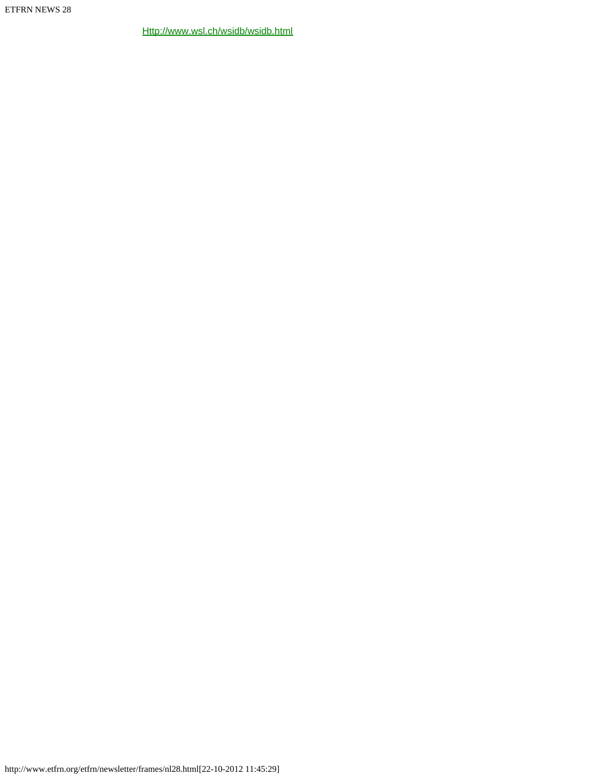[Http://www.wsl.ch/wsidb/wsidb.html](http://www.wsl.ch/wsidb/wsidb.html)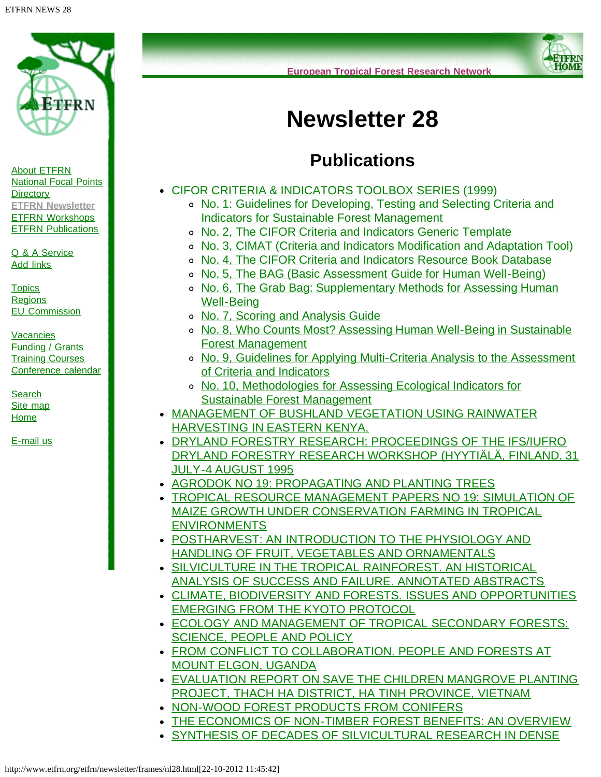<span id="page-32-0"></span>

**European Tropical Forest Research Network**



# **Newsletter 28**

# **Publications**

- [CIFOR CRITERIA & INDICATORS TOOLBOX SERIES \(1999\)](#page-33-0)
	- o [No. 1: Guidelines for Developing, Testing and Selecting Criteria and](#page-33-1) [Indicators for Sustainable Forest Management](#page-33-1)
	- o [No. 2, The CIFOR Criteria and Indicators Generic Template](#page-33-2)
	- [No. 3, CIMAT \(Criteria and Indicators Modification and Adaptation Tool\)](#page-34-0)
	- o [No. 4, The CIFOR Criteria and Indicators Resource Book Database](#page-34-1)
	- [No. 5, The BAG \(Basic Assessment Guide for Human Well-Being\)](#page-34-2)
	- o [No. 6, The Grab Bag: Supplementary Methods for Assessing Human](#page-35-0) [Well-Being](#page-35-0)
	- o [No. 7, Scoring and Analysis Guide](http://www.etfrn.org/etfrn/newsletter/nl28_pub.htm?AcrobatWebCapTID2#sig)
	- [No. 8, Who Counts Most? Assessing Human Well-Being in Sustainable](#page-35-1) [Forest Management](#page-35-1)
	- [No. 9, Guidelines for Applying Multi-Criteria Analysis to the Assessment](#page-36-0) [of Criteria and Indicators](#page-36-0)
	- [No. 10, Methodologies for Assessing Ecological Indicators for](#page-36-1) [Sustainable Forest Management](#page-36-1)
- [MANAGEMENT OF BUSHLAND VEGETATION USING RAINWATER](#page-36-2) [HARVESTING IN EASTERN KENYA.](#page-36-2)
- [DRYLAND FORESTRY RESEARCH: PROCEEDINGS OF THE IFS/IUFRO](#page-37-0) [DRYLAND FORESTRY RESEARCH WORKSHOP \(HYYTIÄLÄ, FINLAND, 31](#page-37-0) [JULY-4 AUGUST 1995](#page-37-0)
- **[AGRODOK NO 19: PROPAGATING AND PLANTING TREES](#page-37-1)**
- [TROPICAL RESOURCE MANAGEMENT PAPERS NO 19: SIMULATION OF](#page-38-0) [MAIZE GROWTH UNDER CONSERVATION FARMING IN TROPICAL](#page-38-0) **[ENVIRONMENTS](#page-38-0)**
- [POSTHARVEST: AN INTRODUCTION TO THE PHYSIOLOGY AND](#page-38-1) [HANDLING OF FRUIT, VEGETABLES AND ORNAMENTALS](#page-38-1)
- [SILVICULTURE IN THE TROPICAL RAINFOREST. AN HISTORICAL](#page-39-0) [ANALYSIS OF SUCCESS AND FAILURE. ANNOTATED ABSTRACTS](#page-39-0)
- [CLIMATE, BIODIVERSITY AND FORESTS. ISSUES AND OPPORTUNITIES](#page-39-1) [EMERGING FROM THE KYOTO PROTOCOL](#page-39-1)
- **[ECOLOGY AND MANAGEMENT OF TROPICAL SECONDARY FORESTS:](#page-40-0)** [SCIENCE, PEOPLE AND POLICY](#page-40-0)
- [FROM CONFLICT TO COLLABORATION. PEOPLE AND FORESTS AT](#page-41-0) [MOUNT ELGON, UGANDA](#page-41-0)
- [EVALUATION REPORT ON SAVE THE CHILDREN MANGROVE PLANTING](#page-41-1) [PROJECT, THACH HA DISTRICT, HA TINH PROVINCE, VIETNAM](#page-41-1)
- **[NON-WOOD FOREST PRODUCTS FROM CONIFERS](#page-42-0)**
- **[THE ECONOMICS OF NON-TIMBER FOREST BENEFITS: AN OVERVIEW](#page-42-1)**
- [SYNTHESIS OF DECADES OF SILVICULTURAL RESEARCH IN DENSE](#page-42-2)

[About ETFRN](http://www.etfrn.org/etfrn/network/about.html) [National Focal Points](http://www.etfrn.org/etfrn/network/natnodes.html) **[Directory](http://www.etfrn.org/etfrn/network/dir.html) [ETFRN Newsletter](http://www.etfrn.org/etfrn/resource/news.html)** [ETFRN Workshops](http://www.etfrn.org/etfrn/workshop/index.html) **[ETFRN Publications](http://www.etfrn.org/etfrn/resource/publications.html)** 

[Q & A Service](http://www.etfrn.org/etfrn/qanda/index.html) [Add links](http://www.etfrn.org/etfrn/addlinks/index.html)

**[Topics](http://www.etfrn.org/etfrn/topics/index.html) [Regions](http://www.etfrn.org/etfrn/regions/index.html)** [EU Commission](http://www.etfrn.org/etfrn/eucomm/index.html)

**[Vacancies](http://www.etfrn.org/etfrn/resource/frames/job.html)** [Funding / Grants](http://www.etfrn.org/etfrn/resource/frames/linkfund.html) **[Training Courses](http://www.etfrn.org/etfrn/resource/frames/courseagenda.html)** [Conference calendar](http://www.etfrn.org/etfrn/resource/frames/agenda.html)

**[Search](http://www.etfrn.org/etfrn/site/search.html)** [Site map](http://www.etfrn.org/etfrn/site/sitemap.html) **[Home](http://www.etfrn.org/etfrn/index.html)** 

[E-mail us](mailto:etfrn@etfrn.org)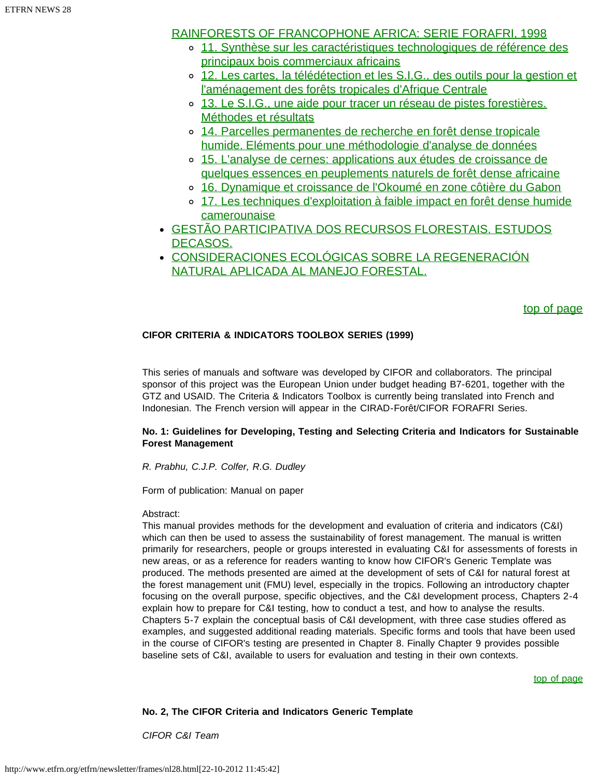## [RAINFORESTS OF FRANCOPHONE AFRICA: SERIE FORAFRI, 1998](#page-42-2)

- o [11. Synthèse sur les caractéristiques technologiques de référence des](#page-43-0) [principaux bois commerciaux africains](#page-43-0)
- o [12. Les cartes, la télédétection et les S.I.G., des outils pour la gestion et](#page-43-1) [l'aménagement des forêts tropicales d'Afrique Centrale](#page-43-1)
- o [13. Le S.I.G., une aide pour tracer un réseau de pistes forestières.](#page-43-2) [Méthodes et résultats](#page-43-2)
- [14. Parcelles permanentes de recherche en forêt dense tropicale](#page-43-3) [humide. Eléments pour une méthodologie d'analyse de données](#page-43-3)
- [15. L'analyse de cernes: applications aux études de croissance de](#page-43-4) [quelques essences en peuplements naturels de forêt dense africaine](#page-43-4)
- o [16. Dynamique et croissance de l'Okoumé en zone côtière du Gabon](#page-43-5)
- o [17. Les techniques d'exploitation à faible impact en forêt dense humide](#page-43-6) **[camerounaise](#page-43-6)**
- [GESTÃO PARTICIPATIVA DOS RECURSOS FLORESTAIS. ESTUDOS](#page-43-7) [DECASOS.](#page-43-7)
- [CONSIDERACIONES ECOLÓGICAS SOBRE LA REGENERACIÓN](#page-44-0) [NATURAL APLICADA AL MANEJO FORESTAL.](#page-44-0)

## [top of page](#page-32-0)

## <span id="page-33-0"></span>**CIFOR CRITERIA & INDICATORS TOOLBOX SERIES (1999)**

This series of manuals and software was developed by CIFOR and collaborators. The principal sponsor of this project was the European Union under budget heading B7-6201, together with the GTZ and USAID. The Criteria & Indicators Toolbox is currently being translated into French and Indonesian. The French version will appear in the CIRAD-Forêt/CIFOR FORAFRI Series.

### <span id="page-33-1"></span>**No. 1: Guidelines for Developing, Testing and Selecting Criteria and Indicators for Sustainable Forest Management**

*R. Prabhu, C.J.P. Colfer, R.G. Dudley*

Form of publication: Manual on paper

## Abstract:

This manual provides methods for the development and evaluation of criteria and indicators (C&I) which can then be used to assess the sustainability of forest management. The manual is written primarily for researchers, people or groups interested in evaluating C&I for assessments of forests in new areas, or as a reference for readers wanting to know how CIFOR's Generic Template was produced. The methods presented are aimed at the development of sets of C&I for natural forest at the forest management unit (FMU) level, especially in the tropics. Following an introductory chapter focusing on the overall purpose, specific objectives, and the C&I development process, Chapters 2-4 explain how to prepare for C&I testing, how to conduct a test, and how to analyse the results. Chapters 5-7 explain the conceptual basis of C&I development, with three case studies offered as examples, and suggested additional reading materials. Specific forms and tools that have been used in the course of CIFOR's testing are presented in Chapter 8. Finally Chapter 9 provides possible baseline sets of C&I, available to users for evaluation and testing in their own contexts.

[top of page](#page-32-0)

## <span id="page-33-2"></span>**No. 2, The CIFOR Criteria and Indicators Generic Template**

*CIFOR C&I Team*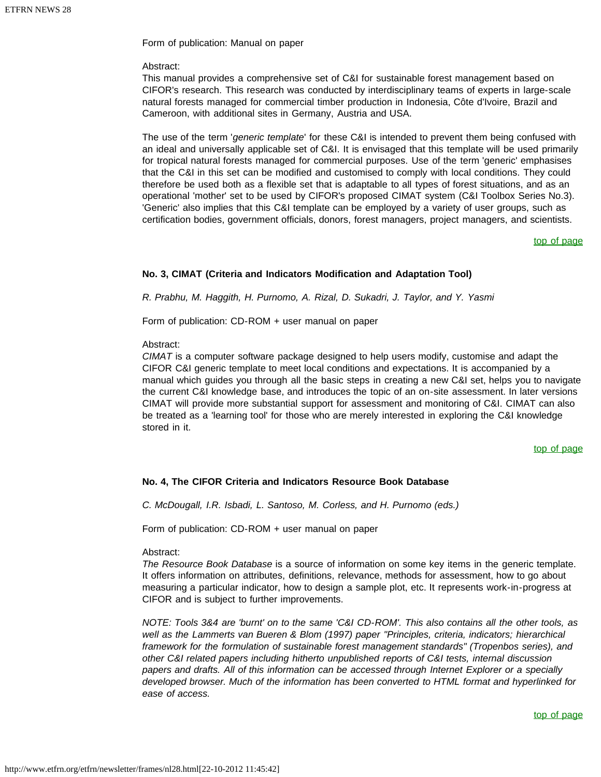Form of publication: Manual on paper

### Abstract:

This manual provides a comprehensive set of C&I for sustainable forest management based on CIFOR's research. This research was conducted by interdisciplinary teams of experts in large-scale natural forests managed for commercial timber production in Indonesia, Côte d'Ivoire, Brazil and Cameroon, with additional sites in Germany, Austria and USA.

The use of the term '*generic template*' for these C&I is intended to prevent them being confused with an ideal and universally applicable set of C&I. It is envisaged that this template will be used primarily for tropical natural forests managed for commercial purposes. Use of the term 'generic' emphasises that the C&I in this set can be modified and customised to comply with local conditions. They could therefore be used both as a flexible set that is adaptable to all types of forest situations, and as an operational 'mother' set to be used by CIFOR's proposed CIMAT system (C&I Toolbox Series No.3). 'Generic' also implies that this C&I template can be employed by a variety of user groups, such as certification bodies, government officials, donors, forest managers, project managers, and scientists.

### [top of page](#page-32-0)

### <span id="page-34-0"></span>**No. 3, CIMAT (Criteria and Indicators Modification and Adaptation Tool)**

*R. Prabhu, M. Haggith, H. Purnomo, A. Rizal, D. Sukadri, J. Taylor, and Y. Yasmi*

Form of publication: CD-ROM + user manual on paper

### Abstract:

*CIMAT* is a computer software package designed to help users modify, customise and adapt the CIFOR C&I generic template to meet local conditions and expectations. It is accompanied by a manual which guides you through all the basic steps in creating a new C&I set, helps you to navigate the current C&I knowledge base, and introduces the topic of an on-site assessment. In later versions CIMAT will provide more substantial support for assessment and monitoring of C&I. CIMAT can also be treated as a 'learning tool' for those who are merely interested in exploring the C&I knowledge stored in it.

### [top of page](#page-32-0)

### <span id="page-34-1"></span>**No. 4, The CIFOR Criteria and Indicators Resource Book Database**

*C. McDougall, I.R. Isbadi, L. Santoso, M. Corless, and H. Purnomo (eds.)*

Form of publication: CD-ROM + user manual on paper

### Abstract:

*The Resource Book Database* is a source of information on some key items in the generic template. It offers information on attributes, definitions, relevance, methods for assessment, how to go about measuring a particular indicator, how to design a sample plot, etc. It represents work-in-progress at CIFOR and is subject to further improvements.

<span id="page-34-2"></span>*NOTE: Tools 3&4 are 'burnt' on to the same 'C&I CD-ROM'. This also contains all the other tools, as well as the Lammerts van Bueren & Blom (1997) paper "Principles, criteria, indicators; hierarchical framework for the formulation of sustainable forest management standards" (Tropenbos series), and other C&I related papers including hitherto unpublished reports of C&I tests, internal discussion papers and drafts. All of this information can be accessed through Internet Explorer or a specially developed browser. Much of the information has been converted to HTML format and hyperlinked for ease of access.*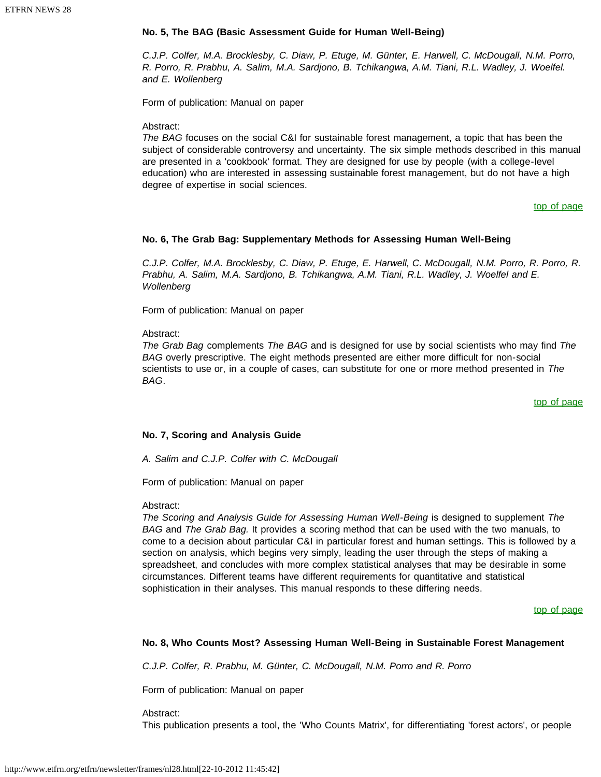### **No. 5, The BAG (Basic Assessment Guide for Human Well-Being)**

*C.J.P. Colfer, M.A. Brocklesby, C. Diaw, P. Etuge, M. Günter, E. Harwell, C. McDougall, N.M. Porro, R. Porro, R. Prabhu, A. Salim, M.A. Sardjono, B. Tchikangwa, A.M. Tiani, R.L. Wadley, J. Woelfel. and E. Wollenberg*

Form of publication: Manual on paper

Abstract:

<span id="page-35-0"></span>*The BAG* focuses on the social C&I for sustainable forest management, a topic that has been the subject of considerable controversy and uncertainty. The six simple methods described in this manual are presented in a 'cookbook' format. They are designed for use by people (with a college-level education) who are interested in assessing sustainable forest management, but do not have a high degree of expertise in social sciences.

[top of page](#page-32-0)

### **No. 6, The Grab Bag: Supplementary Methods for Assessing Human Well-Being**

*C.J.P. Colfer, M.A. Brocklesby, C. Diaw, P. Etuge, E. Harwell, C. McDougall, N.M. Porro, R. Porro, R. Prabhu, A. Salim, M.A. Sardjono, B. Tchikangwa, A.M. Tiani, R.L. Wadley, J. Woelfel and E. Wollenberg*

Form of publication: Manual on paper

Abstract:

*The Grab Bag* complements *The BAG* and is designed for use by social scientists who may find *The BAG* overly prescriptive. The eight methods presented are either more difficult for non-social scientists to use or, in a couple of cases, can substitute for one or more method presented in *The BAG*.

[top of page](#page-32-0)

### **No. 7, Scoring and Analysis Guide**

*A. Salim and C.J.P. Colfer with C. McDougall*

Form of publication: Manual on paper

Abstract:

*The Scoring and Analysis Guide for Assessing Human Well-Being* is designed to supplement *The BAG* and *The Grab Bag.* It provides a scoring method that can be used with the two manuals, to come to a decision about particular C&I in particular forest and human settings. This is followed by a section on analysis, which begins very simply, leading the user through the steps of making a spreadsheet, and concludes with more complex statistical analyses that may be desirable in some circumstances. Different teams have different requirements for quantitative and statistical sophistication in their analyses. This manual responds to these differing needs.

[top of page](#page-32-0)

### <span id="page-35-1"></span>**No. 8, Who Counts Most? Assessing Human Well-Being in Sustainable Forest Management**

*C.J.P. Colfer, R. Prabhu, M. Günter, C. McDougall, N.M. Porro and R. Porro*

Form of publication: Manual on paper

Abstract:

This publication presents a tool, the 'Who Counts Matrix', for differentiating 'forest actors', or people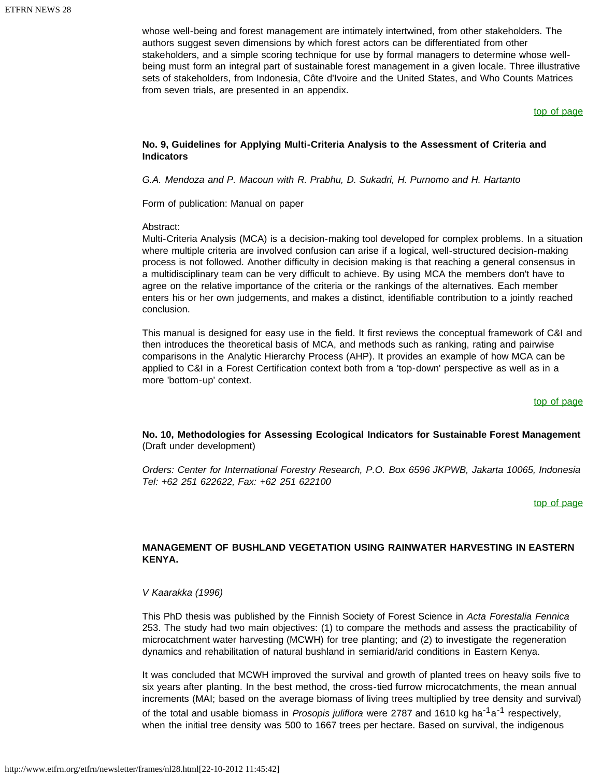whose well-being and forest management are intimately intertwined, from other stakeholders. The authors suggest seven dimensions by which forest actors can be differentiated from other stakeholders, and a simple scoring technique for use by formal managers to determine whose wellbeing must form an integral part of sustainable forest management in a given locale. Three illustrative sets of stakeholders, from Indonesia, Côte d'Ivoire and the United States, and Who Counts Matrices from seven trials, are presented in an appendix.

### [top of page](#page-32-0)

### <span id="page-36-0"></span>**No. 9, Guidelines for Applying Multi-Criteria Analysis to the Assessment of Criteria and Indicators**

*G.A. Mendoza and P. Macoun with R. Prabhu, D. Sukadri, H. Purnomo and H. Hartanto*

Form of publication: Manual on paper

#### Abstract:

Multi-Criteria Analysis (MCA) is a decision-making tool developed for complex problems. In a situation where multiple criteria are involved confusion can arise if a logical, well-structured decision-making process is not followed. Another difficulty in decision making is that reaching a general consensus in a multidisciplinary team can be very difficult to achieve. By using MCA the members don't have to agree on the relative importance of the criteria or the rankings of the alternatives. Each member enters his or her own judgements, and makes a distinct, identifiable contribution to a jointly reached conclusion.

<span id="page-36-1"></span>This manual is designed for easy use in the field. It first reviews the conceptual framework of C&I and then introduces the theoretical basis of MCA, and methods such as ranking, rating and pairwise comparisons in the Analytic Hierarchy Process (AHP). It provides an example of how MCA can be applied to C&I in a Forest Certification context both from a 'top-down' perspective as well as in a more 'bottom-up' context.

#### [top of page](#page-32-0)

### **No. 10, Methodologies for Assessing Ecological Indicators for Sustainable Forest Management** (Draft under development)

<span id="page-36-2"></span>*Orders: Center for International Forestry Research, P.O. Box 6596 JKPWB, Jakarta 10065, Indonesia Tel: +62 251 622622, Fax: +62 251 622100*

#### [top of page](#page-32-0)

### **MANAGEMENT OF BUSHLAND VEGETATION USING RAINWATER HARVESTING IN EASTERN KENYA.**

### *V Kaarakka (1996)*

This PhD thesis was published by the Finnish Society of Forest Science in *Acta Forestalia Fennica* 253. The study had two main objectives: (1) to compare the methods and assess the practicability of microcatchment water harvesting (MCWH) for tree planting; and (2) to investigate the regeneration dynamics and rehabilitation of natural bushland in semiarid/arid conditions in Eastern Kenya.

It was concluded that MCWH improved the survival and growth of planted trees on heavy soils five to six years after planting. In the best method, the cross-tied furrow microcatchments, the mean annual increments (MAI; based on the average biomass of living trees multiplied by tree density and survival) of the total and usable biomass in *Prosopis juliflora* were 2787 and 1610 kg ha-1a-1 respectively, when the initial tree density was 500 to 1667 trees per hectare. Based on survival, the indigenous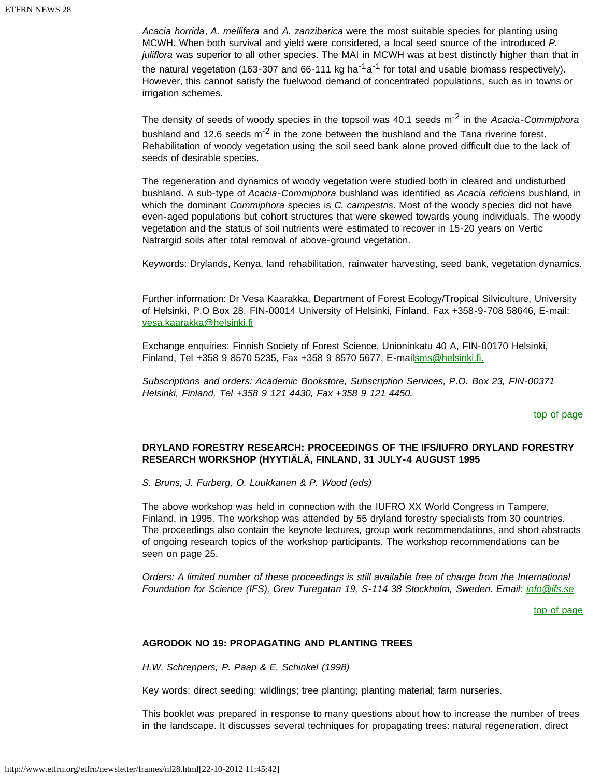*Acacia horrida*, *A*. *mellifera* and *A. zanzibarica* were the most suitable species for planting using MCWH. When both survival and yield were considered, a local seed source of the introduced *P. juliflora* was superior to all other species. The MAI in MCWH was at best distinctly higher than that in the natural vegetation (163-307 and 66-111 kg ha<sup>-1</sup> a<sup>-1</sup> for total and usable biomass respectively). However, this cannot satisfy the fuelwood demand of concentrated populations, such as in towns or irrigation schemes.

The density of seeds of woody species in the topsoil was 40.1 seeds m-2 in the *Acacia-Commiphora* bushland and 12.6 seeds  $m^{-2}$  in the zone between the bushland and the Tana riverine forest. Rehabilitation of woody vegetation using the soil seed bank alone proved difficult due to the lack of seeds of desirable species.

The regeneration and dynamics of woody vegetation were studied both in cleared and undisturbed bushland. A sub-type of *Acacia-Commiphora* bushland was identified as *Acacia reficiens* bushland, in which the dominant *Commiphora* species is *C. campestris*. Most of the woody species did not have even-aged populations but cohort structures that were skewed towards young individuals. The woody vegetation and the status of soil nutrients were estimated to recover in 15-20 years on Vertic Natrargid soils after total removal of above-ground vegetation.

Keywords: Drylands, Kenya, land rehabilitation, rainwater harvesting, seed bank, vegetation dynamics.

Further information: Dr Vesa Kaarakka, Department of Forest Ecology/Tropical Silviculture, University of Helsinki, P.O Box 28, FIN-00014 University of Helsinki, Finland. Fax +358-9-708 58646, E-mail: [vesa.kaarakka@helsinki.fi](mailto:vesa.kaarakka@helsinki.fi)

Exchange enquiries: Finnish Society of Forest Science, Unioninkatu 40 A, FIN-00170 Helsinki, Finland, Tel +358 9 8570 5235, Fax +358 9 8570 5677, E-mail[sms@helsinki.fi.](mailto:sms@helsinki.fi.)

<span id="page-37-0"></span>*Subscriptions and orders: Academic Bookstore, Subscription Services, P.O. Box 23, FIN-00371 Helsinki, Finland, Tel +358 9 121 4430, Fax +358 9 121 4450.*

[top of page](#page-32-0)

### **DRYLAND FORESTRY RESEARCH: PROCEEDINGS OF THE IFS/IUFRO DRYLAND FORESTRY RESEARCH WORKSHOP (HYYTIÄLÄ, FINLAND, 31 JULY-4 AUGUST 1995**

*S. Bruns, J. Furberg, O. Luukkanen & P. Wood (eds)*

The above workshop was held in connection with the IUFRO XX World Congress in Tampere, Finland, in 1995. The workshop was attended by 55 dryland forestry specialists from 30 countries. The proceedings also contain the keynote lectures, group work recommendations, and short abstracts of ongoing research topics of the workshop participants. The workshop recommendations can be seen on page 25.

<span id="page-37-1"></span>*Orders: A limited number of these proceedings is still available free of charge from the International Foundation for Science (IFS), Grev Turegatan 19, S-114 38 Stockholm, Sweden. Email: [info@ifs.se](http://www.etfrn.org/etfrn/%22mailto:info@ifs.se%22)*

[top of page](#page-32-0)

### **AGRODOK NO 19: PROPAGATING AND PLANTING TREES**

*H.W. Schreppers, P. Paap & E. Schinkel (1998)*

Key words: direct seeding; wildlings; tree planting; planting material; farm nurseries.

This booklet was prepared in response to many questions about how to increase the number of trees in the landscape. It discusses several techniques for propagating trees: natural regeneration, direct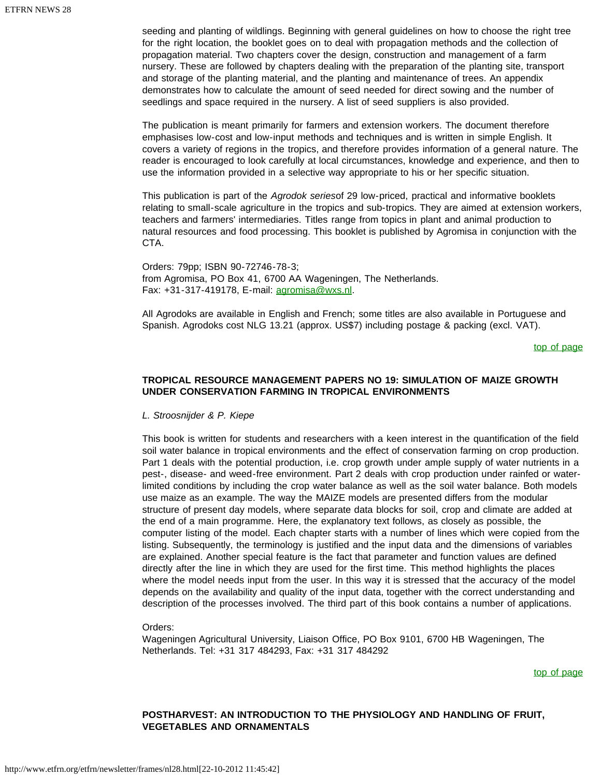seeding and planting of wildlings. Beginning with general guidelines on how to choose the right tree for the right location, the booklet goes on to deal with propagation methods and the collection of propagation material. Two chapters cover the design, construction and management of a farm nursery. These are followed by chapters dealing with the preparation of the planting site, transport and storage of the planting material, and the planting and maintenance of trees. An appendix demonstrates how to calculate the amount of seed needed for direct sowing and the number of seedlings and space required in the nursery. A list of seed suppliers is also provided.

The publication is meant primarily for farmers and extension workers. The document therefore emphasises low-cost and low-input methods and techniques and is written in simple English. It covers a variety of regions in the tropics, and therefore provides information of a general nature. The reader is encouraged to look carefully at local circumstances, knowledge and experience, and then to use the information provided in a selective way appropriate to his or her specific situation.

This publication is part of the *Agrodok series*of 29 low-priced, practical and informative booklets relating to small-scale agriculture in the tropics and sub-tropics. They are aimed at extension workers, teachers and farmers' intermediaries. Titles range from topics in plant and animal production to natural resources and food processing. This booklet is published by Agromisa in conjunction with the CTA.

Orders: 79pp; ISBN 90-72746-78-3; from Agromisa, PO Box 41, 6700 AA Wageningen, The Netherlands. Fax: +31-317-419178, E-mail: [agromisa@wxs.nl.](mailto:agromisa@wxs.nl)

<span id="page-38-0"></span>All Agrodoks are available in English and French; some titles are also available in Portuguese and Spanish. Agrodoks cost NLG 13.21 (approx. US\$7) including postage & packing (excl. VAT).

[top of page](#page-32-0)

### **TROPICAL RESOURCE MANAGEMENT PAPERS NO 19: SIMULATION OF MAIZE GROWTH UNDER CONSERVATION FARMING IN TROPICAL ENVIRONMENTS**

*L. Stroosnijder & P. Kiepe*

This book is written for students and researchers with a keen interest in the quantification of the field soil water balance in tropical environments and the effect of conservation farming on crop production. Part 1 deals with the potential production, i.e. crop growth under ample supply of water nutrients in a pest-, disease- and weed-free environment. Part 2 deals with crop production under rainfed or waterlimited conditions by including the crop water balance as well as the soil water balance. Both models use maize as an example. The way the MAIZE models are presented differs from the modular structure of present day models, where separate data blocks for soil, crop and climate are added at the end of a main programme. Here, the explanatory text follows, as closely as possible, the computer listing of the model. Each chapter starts with a number of lines which were copied from the listing. Subsequently, the terminology is justified and the input data and the dimensions of variables are explained. Another special feature is the fact that parameter and function values are defined directly after the line in which they are used for the first time. This method highlights the places where the model needs input from the user. In this way it is stressed that the accuracy of the model depends on the availability and quality of the input data, together with the correct understanding and description of the processes involved. The third part of this book contains a number of applications.

### Orders:

<span id="page-38-1"></span>Wageningen Agricultural University, Liaison Office, PO Box 9101, 6700 HB Wageningen, The Netherlands. Tel: +31 317 484293, Fax: +31 317 484292

[top of page](#page-32-0)

### **POSTHARVEST: AN INTRODUCTION TO THE PHYSIOLOGY AND HANDLING OF FRUIT, VEGETABLES AND ORNAMENTALS**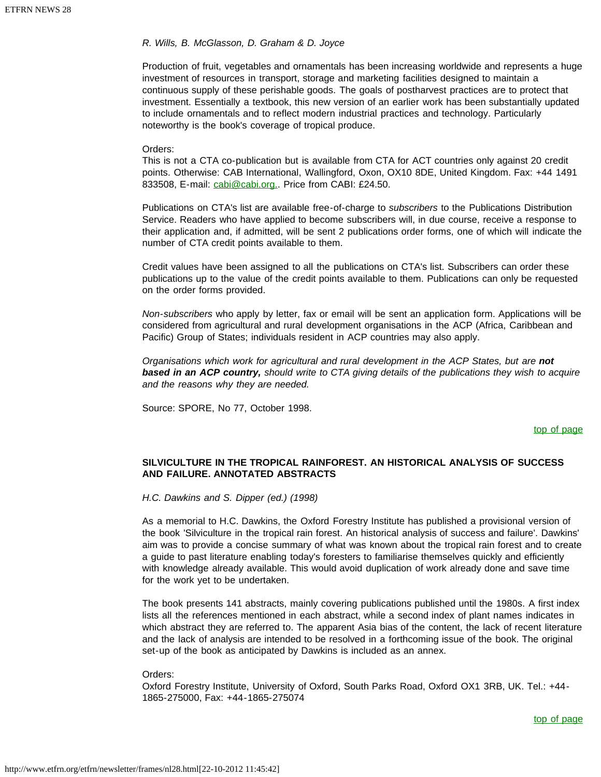### *R. Wills, B. McGlasson, D. Graham & D. Joyce*

Production of fruit, vegetables and ornamentals has been increasing worldwide and represents a huge investment of resources in transport, storage and marketing facilities designed to maintain a continuous supply of these perishable goods. The goals of postharvest practices are to protect that investment. Essentially a textbook, this new version of an earlier work has been substantially updated to include ornamentals and to reflect modern industrial practices and technology. Particularly noteworthy is the book's coverage of tropical produce.

### Orders:

This is not a CTA co-publication but is available from CTA for ACT countries only against 20 credit points. Otherwise: CAB International, Wallingford, Oxon, OX10 8DE, United Kingdom. Fax: +44 1491 833508, E-mail: [cabi@cabi.org.](mailto:cabi@cabi.org). Price from CABI: £24.50.

Publications on CTA's list are available free-of-charge to *subscribers* to the Publications Distribution Service. Readers who have applied to become subscribers will, in due course, receive a response to their application and, if admitted, will be sent 2 publications order forms, one of which will indicate the number of CTA credit points available to them.

Credit values have been assigned to all the publications on CTA's list. Subscribers can order these publications up to the value of the credit points available to them. Publications can only be requested on the order forms provided.

*Non-subscribers* who apply by letter, fax or email will be sent an application form. Applications will be considered from agricultural and rural development organisations in the ACP (Africa, Caribbean and Pacific) Group of States; individuals resident in ACP countries may also apply.

*Organisations which work for agricultural and rural development in the ACP States, but are not based in an ACP country, should write to CTA giving details of the publications they wish to acquire and the reasons why they are needed.*

<span id="page-39-0"></span>Source: SPORE, No 77, October 1998.

[top of page](#page-32-0)

### **SILVICULTURE IN THE TROPICAL RAINFOREST. AN HISTORICAL ANALYSIS OF SUCCESS AND FAILURE. ANNOTATED ABSTRACTS**

*H.C. Dawkins and S. Dipper (ed.) (1998)*

As a memorial to H.C. Dawkins, the Oxford Forestry Institute has published a provisional version of the book 'Silviculture in the tropical rain forest. An historical analysis of success and failure'. Dawkins' aim was to provide a concise summary of what was known about the tropical rain forest and to create a guide to past literature enabling today's foresters to familiarise themselves quickly and efficiently with knowledge already available. This would avoid duplication of work already done and save time for the work yet to be undertaken.

The book presents 141 abstracts, mainly covering publications published until the 1980s. A first index lists all the references mentioned in each abstract, while a second index of plant names indicates in which abstract they are referred to. The apparent Asia bias of the content, the lack of recent literature and the lack of analysis are intended to be resolved in a forthcoming issue of the book. The original set-up of the book as anticipated by Dawkins is included as an annex.

#### Orders:

<span id="page-39-1"></span>Oxford Forestry Institute, University of Oxford, South Parks Road, Oxford OX1 3RB, UK. Tel.: +44- 1865-275000, Fax: +44-1865-275074

[top of page](#page-32-0)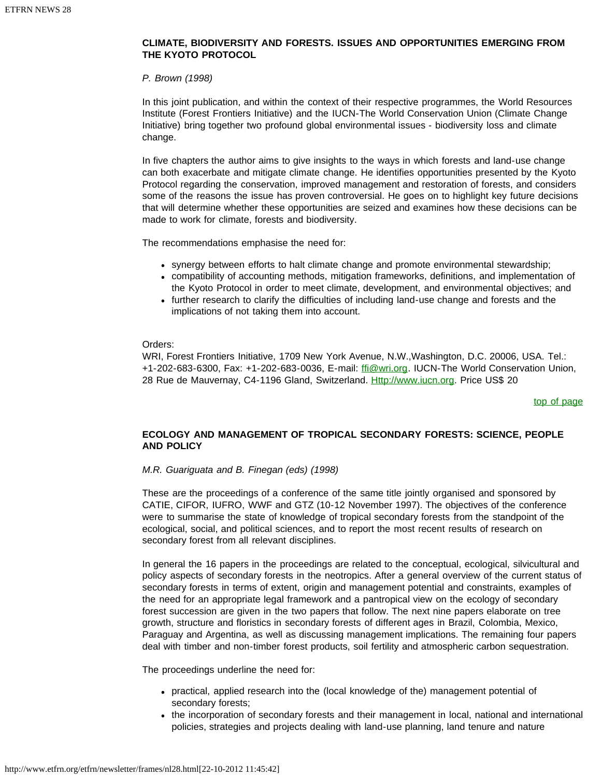### **CLIMATE, BIODIVERSITY AND FORESTS. ISSUES AND OPPORTUNITIES EMERGING FROM THE KYOTO PROTOCOL**

### *P. Brown (1998)*

In this joint publication, and within the context of their respective programmes, the World Resources Institute (Forest Frontiers Initiative) and the IUCN-The World Conservation Union (Climate Change Initiative) bring together two profound global environmental issues - biodiversity loss and climate change.

In five chapters the author aims to give insights to the ways in which forests and land-use change can both exacerbate and mitigate climate change. He identifies opportunities presented by the Kyoto Protocol regarding the conservation, improved management and restoration of forests, and considers some of the reasons the issue has proven controversial. He goes on to highlight key future decisions that will determine whether these opportunities are seized and examines how these decisions can be made to work for climate, forests and biodiversity.

The recommendations emphasise the need for:

- synergy between efforts to halt climate change and promote environmental stewardship;
- compatibility of accounting methods, mitigation frameworks, definitions, and implementation of the Kyoto Protocol in order to meet climate, development, and environmental objectives; and
- further research to clarify the difficulties of including land-use change and forests and the implications of not taking them into account.

Orders:

<span id="page-40-0"></span>WRI, Forest Frontiers Initiative, 1709 New York Avenue, N.W.,Washington, D.C. 20006, USA. Tel.: +1-202-683-6300, Fax: +1-202-683-0036, E-mail: fil@wri.org. IUCN-The World Conservation Union, 28 Rue de Mauvernay, C4-1196 Gland, Switzerland. [Http://www.iucn.org](http://www.iucn.org/). Price US\$ 20

[top of page](#page-32-0)

### **ECOLOGY AND MANAGEMENT OF TROPICAL SECONDARY FORESTS: SCIENCE, PEOPLE AND POLICY**

### *M.R. Guariguata and B. Finegan (eds) (1998)*

These are the proceedings of a conference of the same title jointly organised and sponsored by CATIE, CIFOR, IUFRO, WWF and GTZ (10-12 November 1997). The objectives of the conference were to summarise the state of knowledge of tropical secondary forests from the standpoint of the ecological, social, and political sciences, and to report the most recent results of research on secondary forest from all relevant disciplines.

In general the 16 papers in the proceedings are related to the conceptual, ecological, silvicultural and policy aspects of secondary forests in the neotropics. After a general overview of the current status of secondary forests in terms of extent, origin and management potential and constraints, examples of the need for an appropriate legal framework and a pantropical view on the ecology of secondary forest succession are given in the two papers that follow. The next nine papers elaborate on tree growth, structure and floristics in secondary forests of different ages in Brazil, Colombia, Mexico, Paraguay and Argentina, as well as discussing management implications. The remaining four papers deal with timber and non-timber forest products, soil fertility and atmospheric carbon sequestration.

The proceedings underline the need for:

- practical, applied research into the (local knowledge of the) management potential of secondary forests;
- the incorporation of secondary forests and their management in local, national and international policies, strategies and projects dealing with land-use planning, land tenure and nature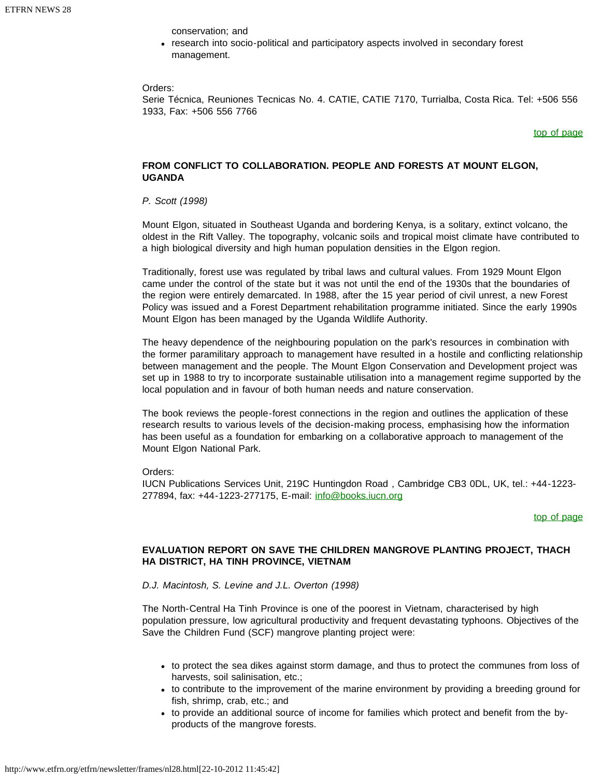conservation; and

• research into socio-political and participatory aspects involved in secondary forest management.

### Orders:

<span id="page-41-0"></span>Serie Técnica, Reuniones Tecnicas No. 4. CATIE, CATIE 7170, Turrialba, Costa Rica. Tel: +506 556 1933, Fax: +506 556 7766

### [top of page](#page-32-0)

### **FROM CONFLICT TO COLLABORATION. PEOPLE AND FORESTS AT MOUNT ELGON, UGANDA**

### *P. Scott (1998)*

Mount Elgon, situated in Southeast Uganda and bordering Kenya, is a solitary, extinct volcano, the oldest in the Rift Valley. The topography, volcanic soils and tropical moist climate have contributed to a high biological diversity and high human population densities in the Elgon region.

Traditionally, forest use was regulated by tribal laws and cultural values. From 1929 Mount Elgon came under the control of the state but it was not until the end of the 1930s that the boundaries of the region were entirely demarcated. In 1988, after the 15 year period of civil unrest, a new Forest Policy was issued and a Forest Department rehabilitation programme initiated. Since the early 1990s Mount Elgon has been managed by the Uganda Wildlife Authority.

The heavy dependence of the neighbouring population on the park's resources in combination with the former paramilitary approach to management have resulted in a hostile and conflicting relationship between management and the people. The Mount Elgon Conservation and Development project was set up in 1988 to try to incorporate sustainable utilisation into a management regime supported by the local population and in favour of both human needs and nature conservation.

The book reviews the people-forest connections in the region and outlines the application of these research results to various levels of the decision-making process, emphasising how the information has been useful as a foundation for embarking on a collaborative approach to management of the Mount Elgon National Park.

Orders:

<span id="page-41-1"></span>IUCN Publications Services Unit, 219C Huntingdon Road , Cambridge CB3 0DL, UK, tel.: +44-1223 277894, fax: +44-1223-277175, E-mail: [info@books.iucn.org](mailto:info@books.iucn.org)

### [top of page](#page-32-0)

### **EVALUATION REPORT ON SAVE THE CHILDREN MANGROVE PLANTING PROJECT, THACH HA DISTRICT, HA TINH PROVINCE, VIETNAM**

### *D.J. Macintosh, S. Levine and J.L. Overton (1998)*

The North-Central Ha Tinh Province is one of the poorest in Vietnam, characterised by high population pressure, low agricultural productivity and frequent devastating typhoons. Objectives of the Save the Children Fund (SCF) mangrove planting project were:

- to protect the sea dikes against storm damage, and thus to protect the communes from loss of harvests, soil salinisation, etc.;
- to contribute to the improvement of the marine environment by providing a breeding ground for fish, shrimp, crab, etc.; and
- to provide an additional source of income for families which protect and benefit from the byproducts of the mangrove forests.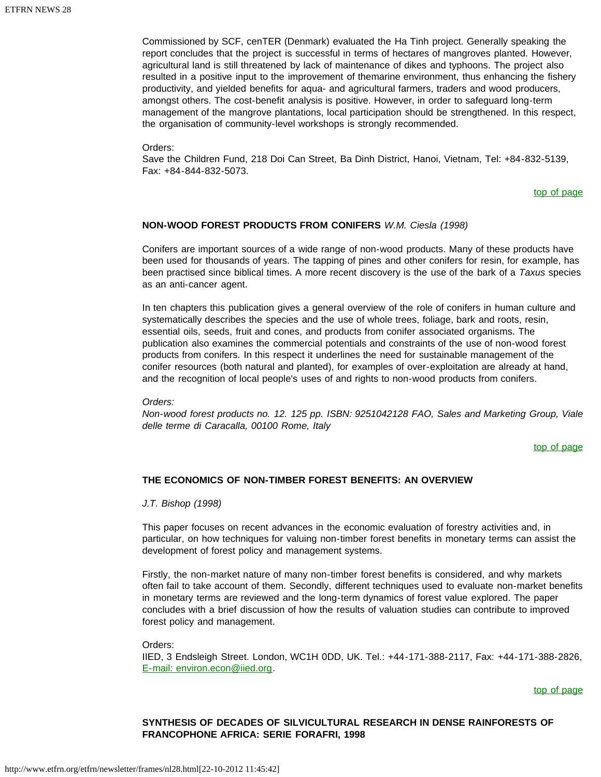Commissioned by SCF, cenTER (Denmark) evaluated the Ha Tinh project. Generally speaking the report concludes that the project is successful in terms of hectares of mangroves planted. However, agricultural land is still threatened by lack of maintenance of dikes and typhoons. The project also resulted in a positive input to the improvement of themarine environment, thus enhancing the fishery productivity, and yielded benefits for aqua- and agricultural farmers, traders and wood producers, amongst others. The cost-benefit analysis is positive. However, in order to safeguard long-term management of the mangrove plantations, local participation should be strengthened. In this respect, the organisation of community-level workshops is strongly recommended.

Orders:

<span id="page-42-0"></span>Save the Children Fund, 218 Doi Can Street, Ba Dinh District, Hanoi, Vietnam, Tel: +84-832-5139, Fax: +84-844-832-5073.

[top of page](#page-32-0)

### **NON-WOOD FOREST PRODUCTS FROM CONIFERS** *W.M. Ciesla (1998)*

Conifers are important sources of a wide range of non-wood products. Many of these products have been used for thousands of years. The tapping of pines and other conifers for resin, for example, has been practised since biblical times. A more recent discovery is the use of the bark of a *Taxus* species as an anti-cancer agent.

In ten chapters this publication gives a general overview of the role of conifers in human culture and systematically describes the species and the use of whole trees, foliage, bark and roots, resin, essential oils, seeds, fruit and cones, and products from conifer associated organisms. The publication also examines the commercial potentials and constraints of the use of non-wood forest products from conifers. In this respect it underlines the need for sustainable management of the conifer resources (both natural and planted), for examples of over-exploitation are already at hand, and the recognition of local people's uses of and rights to non-wood products from conifers.

*Orders:* 

<span id="page-42-1"></span>*Non-wood forest products no. 12. 125 pp. ISBN: 9251042128 FAO, Sales and Marketing Group, Viale delle terme di Caracalla, 00100 Rome, Italy*

[top of page](#page-32-0)

### **THE ECONOMICS OF NON-TIMBER FOREST BENEFITS: AN OVERVIEW**

*J.T. Bishop (1998)*

This paper focuses on recent advances in the economic evaluation of forestry activities and, in particular, on how techniques for valuing non-timber forest benefits in monetary terms can assist the development of forest policy and management systems.

Firstly, the non-market nature of many non-timber forest benefits is considered, and why markets often fail to take account of them. Secondly, different techniques used to evaluate non-market benefits in monetary terms are reviewed and the long-term dynamics of forest value explored. The paper concludes with a brief discussion of how the results of valuation studies can contribute to improved forest policy and management.

Orders:

<span id="page-42-2"></span>IIED, 3 Endsleigh Street. London, WC1H 0DD, UK. Tel.: +44-171-388-2117, Fax: +44-171-388-2826, [E-mail: environ.econ@iied.org.](mailto:environ.econ@iied.org)

[top of page](#page-32-0)

### **SYNTHESIS OF DECADES OF SILVICULTURAL RESEARCH IN DENSE RAINFORESTS OF FRANCOPHONE AFRICA: SERIE FORAFRI, 1998**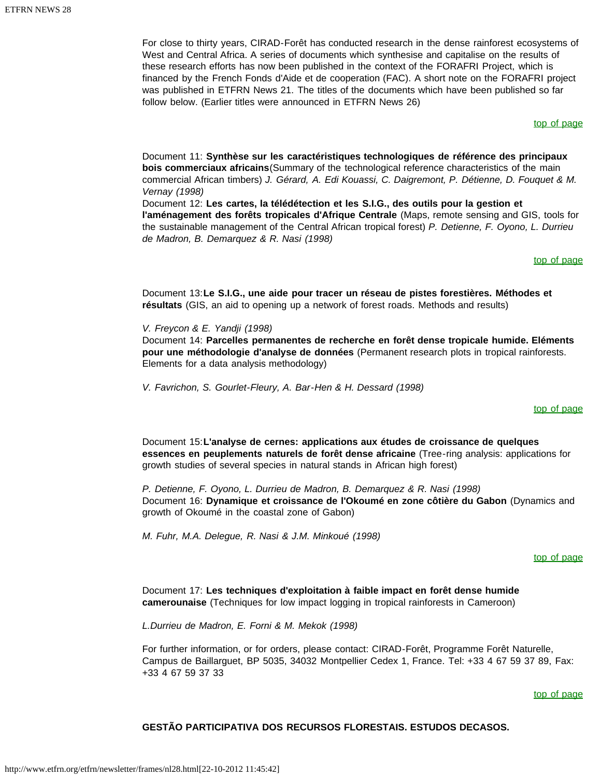For close to thirty years, CIRAD-Forêt has conducted research in the dense rainforest ecosystems of West and Central Africa. A series of documents which synthesise and capitalise on the results of these research efforts has now been published in the context of the FORAFRI Project, which is financed by the French Fonds d'Aide et de cooperation (FAC). A short note on the FORAFRI project was published in ETFRN News 21. The titles of the documents which have been published so far follow below. (Earlier titles were announced in ETFRN News 26)

[top of page](#page-32-0)

<span id="page-43-0"></span>Document 11: **Synthèse sur les caractéristiques technologiques de référence des principaux bois commerciaux africains**(Summary of the technological reference characteristics of the main commercial African timbers) *J. Gérard, A. Edi Kouassi, C. Daigremont, P. Détienne, D. Fouquet & M. Vernay (1998)*

<span id="page-43-2"></span><span id="page-43-1"></span>Document 12: **Les cartes, la télédétection et les S.I.G., des outils pour la gestion et l'aménagement des forêts tropicales d'Afrique Centrale** (Maps, remote sensing and GIS, tools for the sustainable management of the Central African tropical forest) *P. Detienne, F. Oyono, L. Durrieu de Madron, B. Demarquez & R. Nasi (1998)*

[top of page](#page-32-0)

Document 13:**Le S.I.G., une aide pour tracer un réseau de pistes forestières. Méthodes et résultats** (GIS, an aid to opening up a network of forest roads. Methods and results)

*V. Freycon & E. Yandji (1998)*

<span id="page-43-3"></span>Document 14: **Parcelles permanentes de recherche en forêt dense tropicale humide. Eléments pour une méthodologie d'analyse de données** (Permanent research plots in tropical rainforests. Elements for a data analysis methodology)

<span id="page-43-4"></span>*V. Favrichon, S. Gourlet-Fleury, A. Bar-Hen & H. Dessard (1998)*

[top of page](#page-32-0)

Document 15:**L'analyse de cernes: applications aux études de croissance de quelques essences en peuplements naturels de forêt dense africaine** (Tree-ring analysis: applications for growth studies of several species in natural stands in African high forest)

<span id="page-43-5"></span>*P. Detienne, F. Oyono, L. Durrieu de Madron, B. Demarquez & R. Nasi (1998)* Document 16: **Dynamique et croissance de l'Okoumé en zone côtière du Gabon** (Dynamics and growth of Okoumé in the coastal zone of Gabon)

<span id="page-43-6"></span>*M. Fuhr, M.A. Delegue, R. Nasi & J.M. Minkoué (1998)*

[top of page](#page-32-0)

Document 17: **Les techniques d'exploitation à faible impact en forêt dense humide camerounaise** (Techniques for low impact logging in tropical rainforests in Cameroon)

*L.Durrieu de Madron, E. Forni & M. Mekok (1998)*

<span id="page-43-7"></span>For further information, or for orders, please contact: CIRAD-Forêt, Programme Forêt Naturelle, Campus de Baillarguet, BP 5035, 34032 Montpellier Cedex 1, France. Tel: +33 4 67 59 37 89, Fax: +33 4 67 59 37 33

[top of page](#page-32-0)

### **GESTÃO PARTICIPATIVA DOS RECURSOS FLORESTAIS. ESTUDOS DECASOS.**